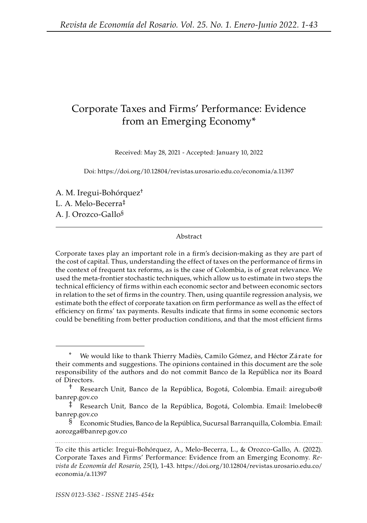# Corporate Taxes and Firms' Performance: Evidence from an Emerging Economy\*

Received: May 28, 2021 - Accepted: January 10, 2022

Doi: <https://doi.org/10.12804/revistas.urosario.edu.co/economia/a.11397>

A. M. Iregui-Bohórquez† L. A. Melo-Becerra‡ A. J. Orozco-Gallo§

#### Abstract

Corporate taxes play an important role in a firm's decision-making as they are part of the cost of capital. Thus, understanding the effect of taxes on the performance of firms in the context of frequent tax reforms, as is the case of Colombia, is of great relevance. We used the meta-frontier stochastic techniques, which allow us to estimate in two steps the technical efficiency of firms within each economic sector and between economic sectors in relation to the set of firms in the country. Then, using quantile regression analysis, we estimate both the effect of corporate taxation on firm performance as well as the effect of efficiency on firms' tax payments. Results indicate that firms in some economic sectors could be benefiting from better production conditions, and that the most efficient firms

We would like to thank Thierry Madiès, Camilo Gómez, and Héctor Zárate for their comments and suggestions. The opinions contained in this document are the sole responsibility of the authors and do not commit Banco de la República nor its Board of Directors.

<sup>†</sup> Research Unit, Banco de la República, Bogotá, Colombia. Email: [airegubo@](mailto:airegubo@banrep.gov.co) [banrep.gov.co](mailto:airegubo@banrep.gov.co)

<sup>‡</sup> Research Unit, Banco de la República, Bogotá, Colombia. Email: [lmelobec@](mailto:lmelobec@banrep.gov.co) [banrep.gov.co](mailto:lmelobec@banrep.gov.co)

<sup>§</sup> Economic Studies, Banco de la República, Sucursal Barranquilla, Colombia. Email: [aorozga@banrep.gov.co](mailto:aorozga@banrep.gov.co)

To cite this article: Iregui-Bohórquez, A., Melo-Becerra, L., & Orozco-Gallo, A. (2022). Corporate Taxes and Firms' Performance: Evidence from an Emerging Economy. *Revista de Economía del Rosario*, *25*(1), 1-43. [https://doi.org/10.12804/revistas.urosario.edu.co/](https://doi.org/10.12804/revistas.urosario.edu.co/economia/a.11397) [economia/a.11397](https://doi.org/10.12804/revistas.urosario.edu.co/economia/a.11397)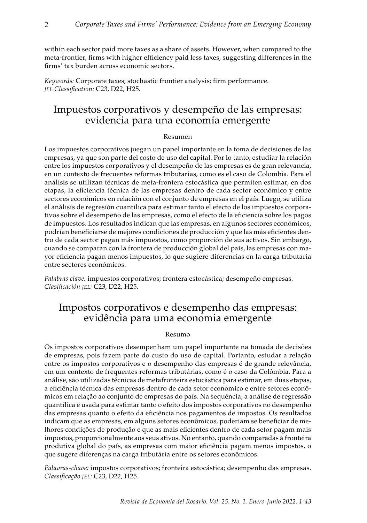within each sector paid more taxes as a share of assets. However, when compared to the meta-frontier, firms with higher efficiency paid less taxes, suggesting differences in the firms' tax burden across economic sectors.

*Keywords:* Corporate taxes; stochastic frontier analysis; firm performance. *jel Classification:* C23, D22, H25.

## Impuestos corporativos y desempeño de las empresas: evidencia para una economía emergente

#### Resumen

Los impuestos corporativos juegan un papel importante en la toma de decisiones de las empresas, ya que son parte del costo de uso del capital. Por lo tanto, estudiar la relación entre los impuestos corporativos y el desempeño de las empresas es de gran relevancia, en un contexto de frecuentes reformas tributarias, como es el caso de Colombia. Para el análisis se utilizan técnicas de meta-frontera estocástica que permiten estimar, en dos etapas, la eficiencia técnica de las empresas dentro de cada sector económico y entre sectores económicos en relación con el conjunto de empresas en el país. Luego, se utiliza el análisis de regresión cuantílica para estimar tanto el efecto de los impuestos corporativos sobre el desempeño de las empresas, como el efecto de la eficiencia sobre los pagos de impuestos. Los resultados indican que las empresas, en algunos sectores económicos, podrían beneficiarse de mejores condiciones de producción y que las más eficientes dentro de cada sector pagan más impuestos, como proporción de sus activos. Sin embargo, cuando se comparan con la frontera de producción global del país, las empresas con mayor eficiencia pagan menos impuestos, lo que sugiere diferencias en la carga tributaria entre sectores económicos.

*Palabras clave:* impuestos corporativos; frontera estocástica; desempeño empresas. *Clasificación jel:* C23, D22, H25.

# Impostos corporativos e desempenho das empresas: evidência para uma economia emergente

#### Resumo

Os impostos corporativos desempenham um papel importante na tomada de decisões de empresas, pois fazem parte do custo do uso de capital. Portanto, estudar a relação entre os impostos corporativos e o desempenho das empresas é de grande relevância, em um contexto de frequentes reformas tributárias, como é o caso da Colômbia. Para a análise, são utilizadas técnicas de metafronteira estocástica para estimar, em duas etapas, a eficiência técnica das empresas dentro de cada setor econômico e entre setores econômicos em relação ao conjunto de empresas do país. Na sequência, a análise de regressão quantílica é usada para estimar tanto o efeito dos impostos corporativos no desempenho das empresas quanto o efeito da eficiência nos pagamentos de impostos. Os resultados indicam que as empresas, em alguns setores econômicos, poderiam se beneficiar de melhores condições de produção e que as mais eficientes dentro de cada setor pagam mais impostos, proporcionalmente aos seus ativos. No entanto, quando comparadas à fronteira produtiva global do país, as empresas com maior eficiência pagam menos impostos, o que sugere diferenças na carga tributária entre os setores econômicos.

*Palavras-chave:* impostos corporativos; fronteira estocástica; desempenho das empresas. *Classificação jel:* C23, D22, H25.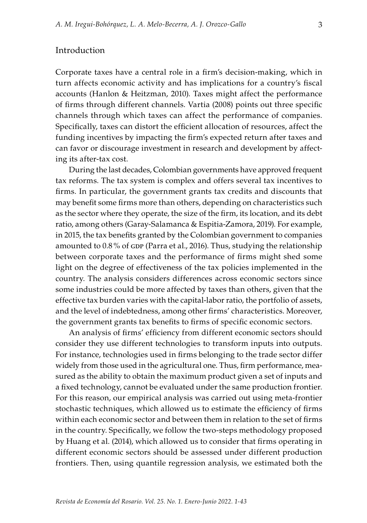## Introduction

Corporate taxes have a central role in a firm's decision-making, which in turn affects economic activity and has implications for a country's fiscal accounts (Hanlon & Heitzman, 2010). Taxes might affect the performance of firms through different channels. Vartia (2008) points out three specific channels through which taxes can affect the performance of companies. Specifically, taxes can distort the efficient allocation of resources, affect the funding incentives by impacting the firm's expected return after taxes and can favor or discourage investment in research and development by affecting its after-tax cost.

During the last decades, Colombian governments have approved frequent tax reforms. The tax system is complex and offers several tax incentives to firms. In particular, the government grants tax credits and discounts that may benefit some firms more than others, depending on characteristics such as the sector where they operate, the size of the firm, its location, and its debt ratio, among others (Garay-Salamanca & Espitia-Zamora, 2019). For example, in 2015, the tax benefits granted by the Colombian government to companies amounted to 0.8% of GDP (Parra et al., 2016). Thus, studying the relationship between corporate taxes and the performance of firms might shed some light on the degree of effectiveness of the tax policies implemented in the country. The analysis considers differences across economic sectors since some industries could be more affected by taxes than others, given that the effective tax burden varies with the capital-labor ratio, the portfolio of assets, and the level of indebtedness, among other firms' characteristics. Moreover, the government grants tax benefits to firms of specific economic sectors.

An analysis of firms' efficiency from different economic sectors should consider they use different technologies to transform inputs into outputs. For instance, technologies used in firms belonging to the trade sector differ widely from those used in the agricultural one. Thus, firm performance, measured as the ability to obtain the maximum product given a set of inputs and a fixed technology, cannot be evaluated under the same production frontier. For this reason, our empirical analysis was carried out using meta-frontier stochastic techniques, which allowed us to estimate the efficiency of firms within each economic sector and between them in relation to the set of firms in the country. Specifically, we follow the two-steps methodology proposed by Huang et al. (2014), which allowed us to consider that firms operating in different economic sectors should be assessed under different production frontiers. Then, using quantile regression analysis, we estimated both the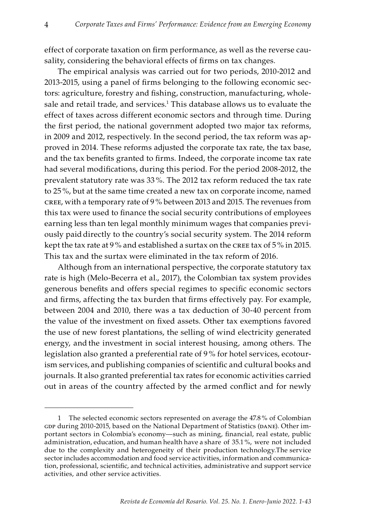effect of corporate taxation on firm performance, as well as the reverse causality, considering the behavioral effects of firms on tax changes.

The empirical analysis was carried out for two periods, 2010-2012 and 2013-2015, using a panel of firms belonging to the following economic sectors: agriculture, forestry and fishing, construction, manufacturing, wholesale and retail trade, and services. $^{\rm 1}$  This database allows us to evaluate the effect of taxes across different economic sectors and through time. During the first period, the national government adopted two major tax reforms, in 2009 and 2012, respectively. In the second period, the tax reform was approved in 2014. These reforms adjusted the corporate tax rate, the tax base, and the tax benefits granted to firms. Indeed, the corporate income tax rate had several modifications, during this period. For the period 2008-2012, the prevalent statutory rate was 33 %. The 2012 tax reform reduced the tax rate to 25 %, but at the same time created a new tax on corporate income, named cree, with a temporary rate of 9 % between 2013 and 2015. The revenues from this tax were used to finance the social security contributions of employees earning less than ten legal monthly minimum wages that companies previously paid directly to the country's social security system. The 2014 reform kept the tax rate at 9% and established a surtax on the CREE tax of 5% in 2015. This tax and the surtax were eliminated in the tax reform of 2016.

Although from an international perspective, the corporate statutory tax rate is high (Melo-Becerra et al., 2017), the Colombian tax system provides generous benefits and offers special regimes to specific economic sectors and firms, affecting the tax burden that firms effectively pay. For example, between 2004 and 2010, there was a tax deduction of 30-40 percent from the value of the investment on fixed assets. Other tax exemptions favored the use of new forest plantations, the selling of wind electricity generated energy, and the investment in social interest housing, among others. The legislation also granted a preferential rate of 9 % for hotel services, ecotourism services, and publishing companies of scientific and cultural books and journals. It also granted preferential tax rates for economic activities carried out in areas of the country affected by the armed conflict and for newly

<sup>1</sup> The selected economic sectors represented on average the 47.8 % of Colombian GDP during 2010-2015, based on the National Department of Statistics (DANE). Other important sectors in Colombia's economy—such as mining, financial, real estate, public administration, education, and human health have a share of 35.1 %, were not included due to the complexity and heterogeneity of their production technology. The service sector includes accommodation and food service activities, information and communication, professional, scientific, and technical activities, administrative and support service activities, and other service activities.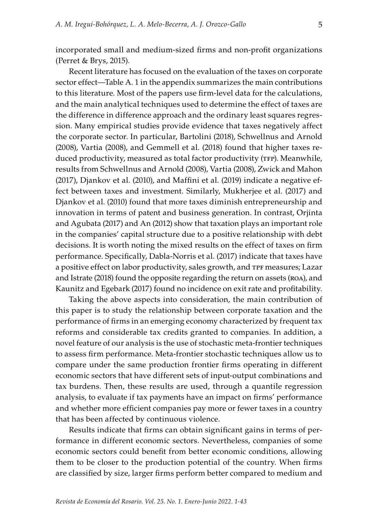incorporated small and medium-sized firms and non-profit organizations (Perret & Brys, 2015).

Recent literature has focused on the evaluation of the taxes on corporate sector effect—Table A. 1 in the appendix summarizes the main contributions to this literature. Most of the papers use firm-level data for the calculations, and the main analytical techniques used to determine the effect of taxes are the difference in difference approach and the ordinary least squares regression. Many empirical studies provide evidence that taxes negatively affect the corporate sector. In particular, Bartolini (2018), Schwellnus and Arnold (2008), Vartia (2008), and Gemmell et al. (2018) found that higher taxes reduced productivity, measured as total factor productivity (TFP). Meanwhile, results from Schwellnus and Arnold (2008), Vartia (2008), Zwick and Mahon (2017), Djankov et al. (2010), and Maffini et al. (2019) indicate a negative effect between taxes and investment. Similarly, Mukherjee et al. (2017) and Djankov et al. (2010) found that more taxes diminish entrepreneurship and innovation in terms of patent and business generation. In contrast, Orjinta and Agubata (2017) and An (2012) show that taxation plays an important role in the companies' capital structure due to a positive relationship with debt decisions. It is worth noting the mixed results on the effect of taxes on firm performance. Specifically, Dabla-Norris et al. (2017) indicate that taxes have a positive effect on labor productivity, sales growth, and TPF measures; Lazar and Istrate (2018) found the opposite regarding the return on assets (ROA), and Kaunitz and Egebark (2017) found no incidence on exit rate and profitability.

Taking the above aspects into consideration, the main contribution of this paper is to study the relationship between corporate taxation and the performance of firms in an emerging economy characterized by frequent tax reforms and considerable tax credits granted to companies. In addition, a novel feature of our analysis is the use of stochastic meta-frontier techniques to assess firm performance. Meta-frontier stochastic techniques allow us to compare under the same production frontier firms operating in different economic sectors that have different sets of input-output combinations and tax burdens. Then, these results are used, through a quantile regression analysis, to evaluate if tax payments have an impact on firms' performance and whether more efficient companies pay more or fewer taxes in a country that has been affected by continuous violence.

Results indicate that firms can obtain significant gains in terms of performance in different economic sectors. Nevertheless, companies of some economic sectors could benefit from better economic conditions, allowing them to be closer to the production potential of the country. When firms are classified by size, larger firms perform better compared to medium and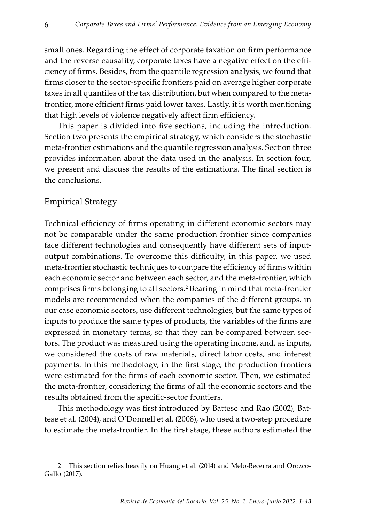small ones. Regarding the effect of corporate taxation on firm performance and the reverse causality, corporate taxes have a negative effect on the efficiency of firms. Besides, from the quantile regression analysis, we found that firms closer to the sector-specific frontiers paid on average higher corporate taxes in all quantiles of the tax distribution, but when compared to the metafrontier, more efficient firms paid lower taxes. Lastly, it is worth mentioning that high levels of violence negatively affect firm efficiency.

This paper is divided into five sections, including the introduction. Section two presents the empirical strategy, which considers the stochastic meta-frontier estimations and the quantile regression analysis. Section three provides information about the data used in the analysis. In section four, we present and discuss the results of the estimations. The final section is the conclusions.

## Empirical Strategy

Technical efficiency of firms operating in different economic sectors may not be comparable under the same production frontier since companies face different technologies and consequently have different sets of inputoutput combinations. To overcome this difficulty, in this paper, we used meta-frontier stochastic techniques to compare the efficiency of firms within each economic sector and between each sector, and the meta-frontier, which comprises firms belonging to all sectors.2 Bearing in mind that meta-frontier models are recommended when the companies of the different groups, in our case economic sectors, use different technologies, but the same types of inputs to produce the same types of products, the variables of the firms are expressed in monetary terms, so that they can be compared between sectors. The product was measured using the operating income, and, as inputs, we considered the costs of raw materials, direct labor costs, and interest payments. In this methodology, in the first stage, the production frontiers were estimated for the firms of each economic sector. Then, we estimated the meta-frontier, considering the firms of all the economic sectors and the results obtained from the specific-sector frontiers.

This methodology was first introduced by Battese and Rao (2002), Battese et al. (2004), and O'Donnell et al. (2008), who used a two-step procedure to estimate the meta-frontier. In the first stage, these authors estimated the

<sup>2</sup> This section relies heavily on Huang et al. (2014) and Melo-Becerra and Orozco-Gallo (2017).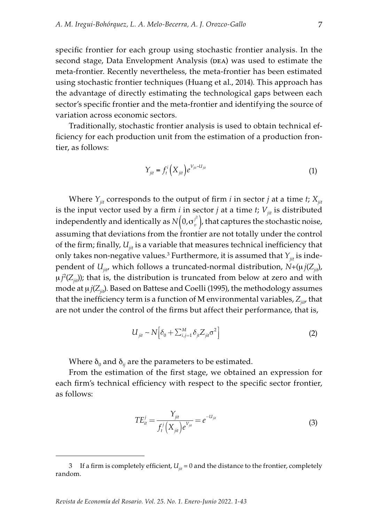specific frontier for each group using stochastic frontier analysis. In the second stage, Data Envelopment Analysis (DEA) was used to estimate the meta-frontier. Recently nevertheless, the meta-frontier has been estimated using stochastic frontier techniques (Huang et al., 2014). This approach has the advantage of directly estimating the technological gaps between each sector's specific frontier and the meta-frontier and identifying the source of variation across economic sectors.

Traditionally, stochastic frontier analysis is used to obtain technical efficiency for each production unit from the estimation of a production frontier, as follows:

$$
Y_{jit} = f_t^i \left( X_{jit} \right) e^{V_{jit} - U_{jit}} \tag{1}
$$

Where  $Y_{ijt}$  corresponds to the output of firm *i* in sector *j* at a time *t*;  $X_{ijt}$ is the input vector used by a firm  $i$  in sector  $j$  at a time  $t$ ;  $V_{ii}$  is distributed independently and identically as  $N(0,\sigma_v^i)$ , that captures the stochastic noise, assuming that deviations from the frontier are not totally under the control of the firm; finally,  $U_{ij}$  is a variable that measures technical inefficiency that only takes non-negative values. $^3$  Furthermore, it is assumed that  $Y_{\scriptscriptstyle jii}$  is independent of  $U_{ijt}$ , which follows a truncated-normal distribution,  $N+(µ)(Z_{ijt})$ ,  $\mu j^2 (Z_{jit})$ ); that is, the distribution is truncated from below at zero and with mode at μ*j*(*Z<sub>iit</sub>*). Based on Battese and Coelli (1995), the methodology assumes that the inefficiency term is a function of M environmental variables, Z<sub>iit</sub>, that are not under the control of the firms but affect their performance, that is,

$$
U_{ji} \sim N\Big[\delta_0 + \sum_{i,j=1}^M \delta_{ji} Z_{ji} \sigma^2\Big]
$$
 (2)

Where  $\delta_0$  and  $\delta_{ij}$  are the parameters to be estimated.

From the estimation of the first stage, we obtained an expression for each firm's technical efficiency with respect to the specific sector frontier, as follows:

$$
TE_{it}^j = \frac{Y_{jit}}{f_t^j (X_{jit}) e^{V_{jit}}} = e^{-U_{fit}}
$$
\n(3)

<sup>3</sup> If a firm is completely efficient,  $U_{ii} = 0$  and the distance to the frontier, completely random.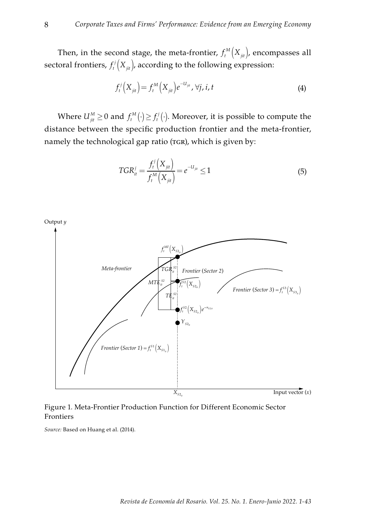Then, in the second stage, the meta-frontier,  $f_t^M\big(X_{\scriptscriptstyle{jit}}\big)$ , encompasses all sectoral frontiers,  $f'_t\bigl(X_{\scriptscriptstyle{jit}}\bigr)$ , according to the following expression:

$$
f_t^j\left(X_{jit}\right) = f_t^M\left(X_{jit}\right) e^{-U_{jit}}, \forall j, i, t
$$
 (4)

Where  $U_{jit}^M \geq 0$  and  $f_t^M(\cdot) \geq f_t^j(\cdot)$ . Moreover, it is possible to compute the distance between the specific production frontier and the meta-frontier, namely the technological gap ratio (TGR), which is given by:

$$
TGR_{it}^{j} = \frac{f_t^{j}(X_{jit})}{f_t^{M}(X_{jit})} = e^{-U_{jit}} \le 1
$$
\n(5)



Figure 1. Meta-Frontier Production Function for Different Economic Sector Frontiers

*Source:* Based on Huang et al. (2014).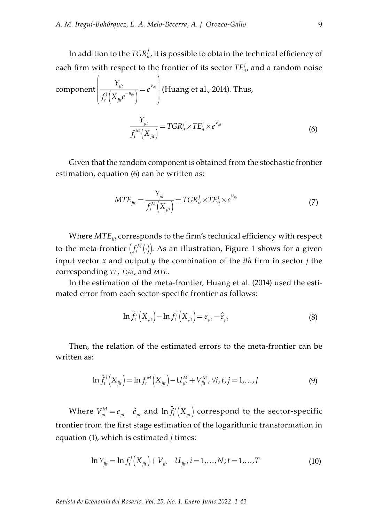In addition to the  $TGR^{\prime}_{it}$ , it is possible to obtain the technical efficiency of each firm with respect to the frontier of its sector  $TE_{it}^{\prime}$ , and a random noise

component 
$$
\left(\frac{Y_{jit}}{f_t^j(X_{jit}e^{-u_{ijt}})}\right) = e^{V_{ij}}
$$
 (Huang et al., 2014). Thus,  

$$
\frac{Y_{jit}}{f_t^M(X_{jit})} = TGR_{it}^j \times TE_{it}^j \times e^{V_{jit}}
$$
(6)

Given that the random component is obtained from the stochastic frontier estimation, equation (6) can be written as:

$$
MTE_{ji} = \frac{Y_{ji}}{f_t^M(X_{ji})} = TGR_{it}^j \times TE_{it}^j \times e^{V_{ji}} \tag{7}
$$

Where  $MTE_{jit}$  corresponds to the firm's technical efficiency with respect to the meta-frontier  $f_t^M(\cdot)$ . As an illustration, Figure 1 shows for a given input vector *x* and output *y* the combination of the *ith* firm in sector *j* the corresponding *te*, *tgr*, and *mte*.

In the estimation of the meta-frontier, Huang et al. (2014) used the estimated error from each sector-specific frontier as follows:

$$
\ln \hat{f}_t^j (X_{jit}) - \ln f_t^j (X_{jit}) = e_{jit} - \hat{e}_{jit}
$$
 (8)

Then, the relation of the estimated errors to the meta-frontier can be written as:

$$
\ln \hat{f}_t^j\left(X_{ji}\right) = \ln f_t^M\left(X_{ji}\right) - U_{ji}^M + V_{ji}^M, \forall i, t, j = 1,...,J
$$
\n(9)

Where  $V_{ji}^M = e_{ji} - \hat{e}_{ji}$  and  $\ln \hat{f}_t^j(X_{ji})$  correspond to the sector-specific frontier from the first stage estimation of the logarithmic transformation in equation (1), which is estimated *j* times:

$$
\ln Y_{ji} = \ln f_i^j \left( X_{ji} \right) + V_{ji} - U_{ji}, i = 1,...,N; t = 1,...,T
$$
\n(10)

*Revista de Economía del Rosario. Vol. 25. No. 1. Enero-Junio 2022. 1-43*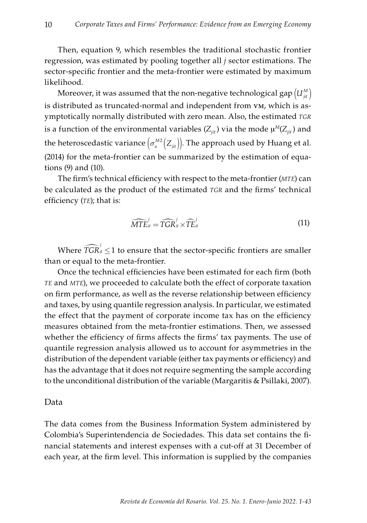Then, equation 9, which resembles the traditional stochastic frontier regression, was estimated by pooling together all *j* sector estimations. The sector-specific frontier and the meta-frontier were estimated by maximum likelihood.

Moreover, it was assumed that the non-negative technological gap  $\left( U_{\scriptscriptstyle{ j\nu} \atop \scriptstyle{ j\nu} }^M \right)$ is distributed as truncated-normal and independent from vm, which is asymptotically normally distributed with zero mean. Also, the estimated *tgr* is a function of the environmental variables  $(Z_{ijt})$  via the mode  $\mu^M(Z_{ijt})$  and the heteroscedastic variance  $\left(\sigma_{u}^{M2}\!\left(Z_{\bar{j}t}\right)\right)$ . The approach used by Huang et al. (2014) for the meta-frontier can be summarized by the estimation of equations (9) and (10).

The firm's technical efficiency with respect to the meta-frontier (*mte*) can be calculated as the product of the estimated *tgr* and the firms' technical efficiency (*te*); that is:

$$
\widehat{MTE}_{it}^{j} = \widehat{TGR}_{it}^{j} \times \widehat{TE}_{it}^{j}
$$
\n(11)

Where  $\widehat{TGR}^j_{it} \leq 1$  to ensure that the sector-specific frontiers are smaller than or equal to the meta-frontier.

Once the technical efficiencies have been estimated for each firm (both *te* and *mte*), we proceeded to calculate both the effect of corporate taxation on firm performance, as well as the reverse relationship between efficiency and taxes, by using quantile regression analysis. In particular, we estimated the effect that the payment of corporate income tax has on the efficiency measures obtained from the meta-frontier estimations. Then, we assessed whether the efficiency of firms affects the firms' tax payments. The use of quantile regression analysis allowed us to account for asymmetries in the distribution of the dependent variable (either tax payments or efficiency) and has the advantage that it does not require segmenting the sample according to the unconditional distribution of the variable (Margaritis & Psillaki, 2007).

### Data

The data comes from the Business Information System administered by Colombia's Superintendencia de Sociedades. This data set contains the financial statements and interest expenses with a cut-off at 31 December of each year, at the firm level. This information is supplied by the companies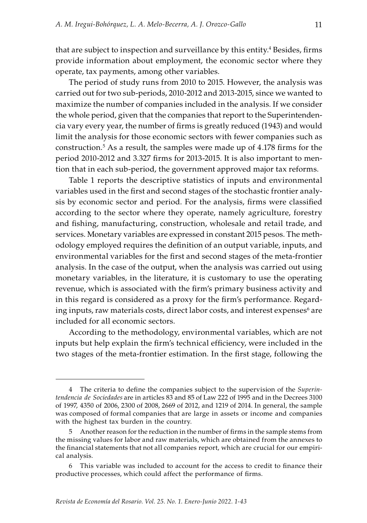that are subject to inspection and surveillance by this entity.<sup>4</sup> Besides, firms provide information about employment, the economic sector where they operate, tax payments, among other variables.

The period of study runs from 2010 to 2015. However, the analysis was carried out for two sub-periods, 2010-2012 and 2013-2015, since we wanted to maximize the number of companies included in the analysis. If we consider the whole period, given that the companies that report to the Superintendencia vary every year, the number of firms is greatly reduced (1943) and would limit the analysis for those economic sectors with fewer companies such as construction.5 As a result, the samples were made up of 4.178 firms for the period 2010-2012 and 3.327 firms for 2013-2015. It is also important to mention that in each sub-period, the government approved major tax reforms.

Table 1 reports the descriptive statistics of inputs and environmental variables used in the first and second stages of the stochastic frontier analysis by economic sector and period. For the analysis, firms were classified according to the sector where they operate, namely agriculture, forestry and fishing, manufacturing, construction, wholesale and retail trade, and services. Monetary variables are expressed in constant 2015 pesos. The methodology employed requires the definition of an output variable, inputs, and environmental variables for the first and second stages of the meta-frontier analysis. In the case of the output, when the analysis was carried out using monetary variables, in the literature, it is customary to use the operating revenue, which is associated with the firm's primary business activity and in this regard is considered as a proxy for the firm's performance. Regarding inputs, raw materials costs, direct labor costs, and interest expenses $^6$  are included for all economic sectors.

According to the methodology, environmental variables, which are not inputs but help explain the firm's technical efficiency, were included in the two stages of the meta-frontier estimation. In the first stage, following the

<sup>4</sup> The criteria to define the companies subject to the supervision of the *Superintendencia de Sociedades* are in articles 83 and 85 of Law 222 of 1995 and in the Decrees 3100 of 1997, 4350 of 2006, 2300 of 2008, 2669 of 2012, and 1219 of 2014. In general, the sample was composed of formal companies that are large in assets or income and companies with the highest tax burden in the country.

<sup>5</sup> Another reason for the reduction in the number of firms in the sample stems from the missing values for labor and raw materials, which are obtained from the annexes to the financial statements that not all companies report, which are crucial for our empirical analysis.

<sup>6</sup> This variable was included to account for the access to credit to finance their productive processes, which could affect the performance of firms.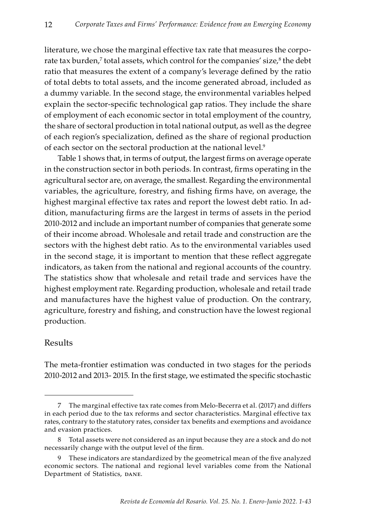literature, we chose the marginal effective tax rate that measures the corporate tax burden,<sup>7</sup> total assets, which control for the companies' size,<sup>8</sup> the debt ratio that measures the extent of a company's leverage defined by the ratio of total debts to total assets, and the income generated abroad, included as a dummy variable. In the second stage, the environmental variables helped explain the sector-specific technological gap ratios. They include the share of employment of each economic sector in total employment of the country, the share of sectoral production in total national output, as well as the degree of each region's specialization, defined as the share of regional production of each sector on the sectoral production at the national level.<sup>9</sup>

Table 1 shows that, in terms of output, the largest firms on average operate in the construction sector in both periods. In contrast, firms operating in the agricultural sector are, on average, the smallest. Regarding the environmental variables, the agriculture, forestry, and fishing firms have, on average, the highest marginal effective tax rates and report the lowest debt ratio. In addition, manufacturing firms are the largest in terms of assets in the period 2010-2012 and include an important number of companies that generate some of their income abroad. Wholesale and retail trade and construction are the sectors with the highest debt ratio. As to the environmental variables used in the second stage, it is important to mention that these reflect aggregate indicators, as taken from the national and regional accounts of the country. The statistics show that wholesale and retail trade and services have the highest employment rate. Regarding production, wholesale and retail trade and manufactures have the highest value of production. On the contrary, agriculture, forestry and fishing, and construction have the lowest regional production.

## Results

The meta-frontier estimation was conducted in two stages for the periods 2010-2012 and 2013- 2015. In the first stage, we estimated the specific stochastic

<sup>7</sup> The marginal effective tax rate comes from Melo-Becerra et al. (2017) and differs in each period due to the tax reforms and sector characteristics. Marginal effective tax rates, contrary to the statutory rates, consider tax benefits and exemptions and avoidance and evasion practices.

<sup>8</sup> Total assets were not considered as an input because they are a stock and do not necessarily change with the output level of the firm.

<sup>9</sup> These indicators are standardized by the geometrical mean of the five analyzed economic sectors. The national and regional level variables come from the National Department of Statistics, DANE.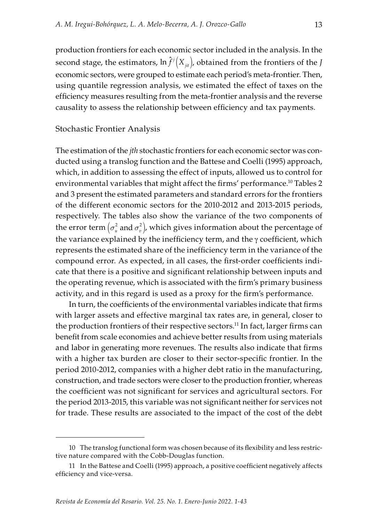production frontiers for each economic sector included in the analysis. In the second stage, the estimators,  $\ln \hat{f}^j\left(X_{\mu i}\right)$ , obtained from the frontiers of the *J* economic sectors, were grouped to estimate each period's meta-frontier. Then, using quantile regression analysis, we estimated the effect of taxes on the efficiency measures resulting from the meta-frontier analysis and the reverse causality to assess the relationship between efficiency and tax payments.

### Stochastic Frontier Analysis

The estimation of the *jth* stochastic frontiers for each economic sector was conducted using a translog function and the Battese and Coelli (1995) approach, which, in addition to assessing the effect of inputs, allowed us to control for environmental variables that might affect the firms' performance.<sup>10</sup> Tables 2 and 3 present the estimated parameters and standard errors for the frontiers of the different economic sectors for the 2010-2012 and 2013-2015 periods, respectively. The tables also show the variance of the two components of the error term  $(\sigma_u^2$  and  $\sigma_v^2$ ), which gives information about the percentage of the variance explained by the inefficiency term, and the γ coefficient, which represents the estimated share of the inefficiency term in the variance of the compound error. As expected, in all cases, the first-order coefficients indicate that there is a positive and significant relationship between inputs and the operating revenue, which is associated with the firm's primary business activity, and in this regard is used as a proxy for the firm's performance.

In turn, the coefficients of the environmental variables indicate that firms with larger assets and effective marginal tax rates are, in general, closer to the production frontiers of their respective sectors.<sup>11</sup> In fact, larger firms can benefit from scale economies and achieve better results from using materials and labor in generating more revenues. The results also indicate that firms with a higher tax burden are closer to their sector-specific frontier. In the period 2010-2012, companies with a higher debt ratio in the manufacturing, construction, and trade sectors were closer to the production frontier, whereas the coefficient was not significant for services and agricultural sectors. For the period 2013-2015, this variable was not significant neither for services not for trade. These results are associated to the impact of the cost of the debt

<sup>10</sup> The translog functional form was chosen because of its flexibility and less restrictive nature compared with the Cobb-Douglas function.

<sup>11</sup> In the Battese and Coelli (1995) approach, a positive coefficient negatively affects efficiency and vice-versa.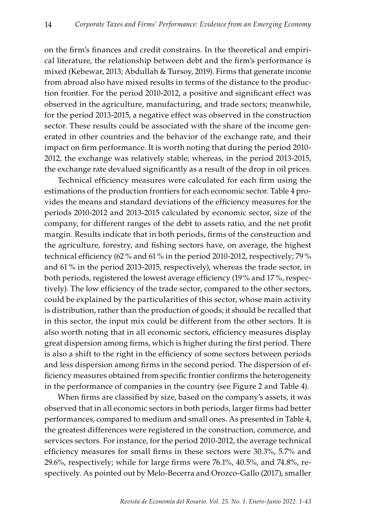14

on the firm's finances and credit constrains. In the theoretical and empirical literature, the relationship between debt and the firm's performance is mixed (Kebewar, 2013; Abdullah & Tursoy, 2019). Firms that generate income from abroad also have mixed results in terms of the distance to the production frontier. For the period 2010-2012, a positive and significant effect was observed in the agriculture, manufacturing, and trade sectors; meanwhile, for the period 2013-2015, a negative effect was observed in the construction sector. These results could be associated with the share of the income generated in other countries and the behavior of the exchange rate, and their impact on firm performance. It is worth noting that during the period 2010- 2012, the exchange was relatively stable; whereas, in the period 2013-2015, the exchange rate devalued significantly as a result of the drop in oil prices.

Technical efficiency measures were calculated for each firm using the estimations of the production frontiers for each economic sector. Table 4 provides the means and standard deviations of the efficiency measures for the periods 2010-2012 and 2013-2015 calculated by economic sector, size of the company, for different ranges of the debt to assets ratio, and the net profit margin. Results indicate that in both periods, firms of the construction and the agriculture, forestry, and fishing sectors have, on average, the highest technical efficiency (62 % and 61 % in the period 2010-2012, respectively; 79 % and 61 % in the period 2013-2015, respectively), whereas the trade sector, in both periods, registered the lowest average efficiency (19 % and 17 %, respectively). The low efficiency of the trade sector, compared to the other sectors, could be explained by the particularities of this sector, whose main activity is distribution, rather than the production of goods; it should be recalled that in this sector, the input mix could be different from the other sectors. It is also worth noting that in all economic sectors, efficiency measures display great dispersion among firms, which is higher during the first period. There is also a shift to the right in the efficiency of some sectors between periods and less dispersion among firms in the second period. The dispersion of efficiency measures obtained from specific frontier confirms the heterogeneity in the performance of companies in the country (see Figure 2 and Table 4).

When firms are classified by size, based on the company's assets, it was observed that in all economic sectors in both periods, larger firms had better performances, compared to medium and small ones. As presented in Table 4, the greatest differences were registered in the construction, commerce, and services sectors. For instance, for the period 2010-2012, the average technical efficiency measures for small firms in these sectors were 30.3%, 5.7% and 29.6%, respectively; while for large firms were 76.1%, 40.5%, and 74.8%, respectively. As pointed out by Melo-Becerra and Orozco-Gallo (2017), smaller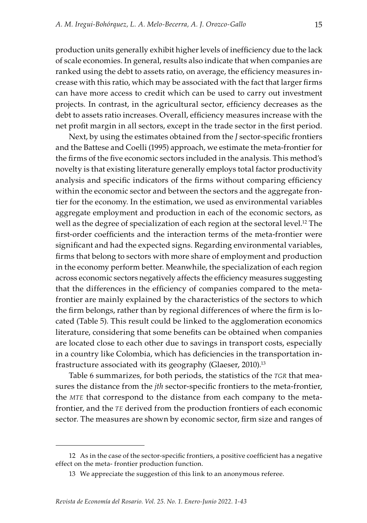production units generally exhibit higher levels of inefficiency due to the lack of scale economies. In general, results also indicate that when companies are ranked using the debt to assets ratio, on average, the efficiency measures increase with this ratio, which may be associated with the fact that larger firms can have more access to credit which can be used to carry out investment projects. In contrast, in the agricultural sector, efficiency decreases as the debt to assets ratio increases. Overall, efficiency measures increase with the net profit margin in all sectors, except in the trade sector in the first period.

Next, by using the estimates obtained from the *J* sector-specific frontiers and the Battese and Coelli (1995) approach, we estimate the meta-frontier for the firms of the five economic sectors included in the analysis. This method's novelty is that existing literature generally employs total factor productivity analysis and specific indicators of the firms without comparing efficiency within the economic sector and between the sectors and the aggregate frontier for the economy. In the estimation, we used as environmental variables aggregate employment and production in each of the economic sectors, as well as the degree of specialization of each region at the sectoral level.<sup>12</sup> The first-order coefficients and the interaction terms of the meta-frontier were significant and had the expected signs. Regarding environmental variables, firms that belong to sectors with more share of employment and production in the economy perform better. Meanwhile, the specialization of each region across economic sectors negatively affects the efficiency measures suggesting that the differences in the efficiency of companies compared to the metafrontier are mainly explained by the characteristics of the sectors to which the firm belongs, rather than by regional differences of where the firm is located (Table 5). This result could be linked to the agglomeration economics literature, considering that some benefits can be obtained when companies are located close to each other due to savings in transport costs, especially in a country like Colombia, which has deficiencies in the transportation infrastructure associated with its geography (Glaeser,  $2010$ ).<sup>13</sup>

Table 6 summarizes, for both periods, the statistics of the *TGR* that measures the distance from the *jth* sector-specific frontiers to the meta-frontier, the *mte* that correspond to the distance from each company to the metafrontier, and the *te* derived from the production frontiers of each economic sector. The measures are shown by economic sector, firm size and ranges of

<sup>12</sup> As in the case of the sector-specific frontiers, a positive coefficient has a negative effect on the meta- frontier production function.

<sup>13</sup> We appreciate the suggestion of this link to an anonymous referee.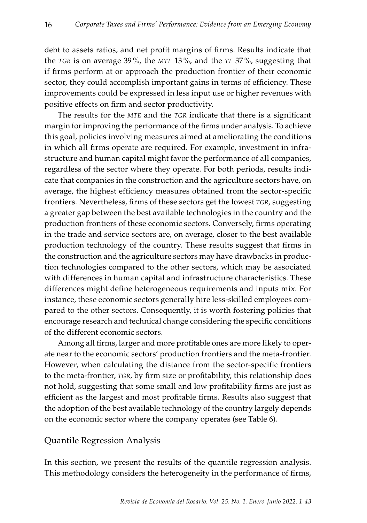debt to assets ratios, and net profit margins of firms. Results indicate that the *tgr* is on average 39 %, the *mte* 13 %, and the *te* 37 %, suggesting that if firms perform at or approach the production frontier of their economic sector, they could accomplish important gains in terms of efficiency. These improvements could be expressed in less input use or higher revenues with positive effects on firm and sector productivity.

The results for the *MTE* and the *TGR* indicate that there is a significant margin for improving the performance of the firms under analysis. To achieve this goal, policies involving measures aimed at ameliorating the conditions in which all firms operate are required. For example, investment in infrastructure and human capital might favor the performance of all companies, regardless of the sector where they operate. For both periods, results indicate that companies in the construction and the agriculture sectors have, on average, the highest efficiency measures obtained from the sector-specific frontiers. Nevertheless, firms of these sectors get the lowest *TGR*, suggesting a greater gap between the best available technologies in the country and the production frontiers of these economic sectors. Conversely, firms operating in the trade and service sectors are, on average, closer to the best available production technology of the country. These results suggest that firms in the construction and the agriculture sectors may have drawbacks in production technologies compared to the other sectors, which may be associated with differences in human capital and infrastructure characteristics. These differences might define heterogeneous requirements and inputs mix. For instance, these economic sectors generally hire less-skilled employees compared to the other sectors. Consequently, it is worth fostering policies that encourage research and technical change considering the specific conditions of the different economic sectors.

Among all firms, larger and more profitable ones are more likely to operate near to the economic sectors' production frontiers and the meta-frontier. However, when calculating the distance from the sector-specific frontiers to the meta-frontier, *tgr*, by firm size or profitability, this relationship does not hold, suggesting that some small and low profitability firms are just as efficient as the largest and most profitable firms. Results also suggest that the adoption of the best available technology of the country largely depends on the economic sector where the company operates (see Table 6).

## Quantile Regression Analysis

In this section, we present the results of the quantile regression analysis. This methodology considers the heterogeneity in the performance of firms,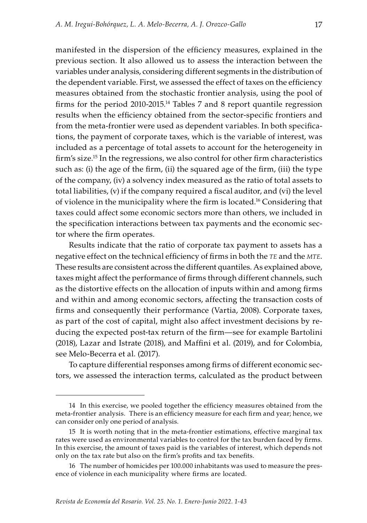manifested in the dispersion of the efficiency measures, explained in the previous section. It also allowed us to assess the interaction between the variables under analysis, considering different segments in the distribution of the dependent variable. First, we assessed the effect of taxes on the efficiency measures obtained from the stochastic frontier analysis, using the pool of firms for the period 2010-2015.14 Tables 7 and 8 report quantile regression results when the efficiency obtained from the sector-specific frontiers and from the meta-frontier were used as dependent variables. In both specifications, the payment of corporate taxes, which is the variable of interest, was included as a percentage of total assets to account for the heterogeneity in firm's size.<sup>15</sup> In the regressions, we also control for other firm characteristics such as: (i) the age of the firm, (ii) the squared age of the firm, (iii) the type of the company, (iv) a solvency index measured as the ratio of total assets to total liabilities, (v) if the company required a fiscal auditor, and (vi) the level of violence in the municipality where the firm is located.16 Considering that taxes could affect some economic sectors more than others, we included in the specification interactions between tax payments and the economic sector where the firm operates.

Results indicate that the ratio of corporate tax payment to assets has a negative effect on the technical efficiency of firms in both the *te* and the *mte*. These results are consistent across the different quantiles. As explained above, taxes might affect the performance of firms through different channels, such as the distortive effects on the allocation of inputs within and among firms and within and among economic sectors, affecting the transaction costs of firms and consequently their performance (Vartia, 2008). Corporate taxes, as part of the cost of capital, might also affect investment decisions by reducing the expected post-tax return of the firm—see for example Bartolini (2018), Lazar and Istrate (2018), and Maffini et al. (2019), and for Colombia, see Melo-Becerra et al. (2017).

To capture differential responses among firms of different economic sectors, we assessed the interaction terms, calculated as the product between

<sup>14</sup> In this exercise, we pooled together the efficiency measures obtained from the meta-frontier analysis. There is an efficiency measure for each firm and year; hence, we can consider only one period of analysis.

<sup>15</sup> It is worth noting that in the meta-frontier estimations, effective marginal tax rates were used as environmental variables to control for the tax burden faced by firms. In this exercise, the amount of taxes paid is the variables of interest, which depends not only on the tax rate but also on the firm's profits and tax benefits.

<sup>16</sup> The number of homicides per 100.000 inhabitants was used to measure the presence of violence in each municipality where firms are located.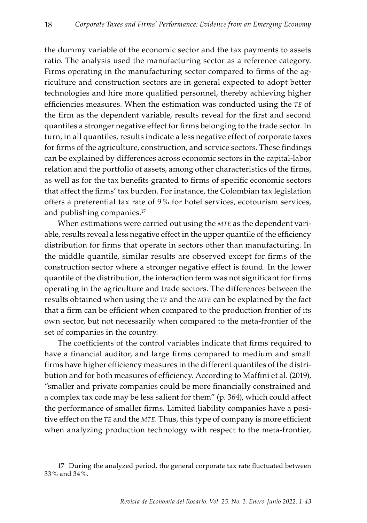the dummy variable of the economic sector and the tax payments to assets ratio. The analysis used the manufacturing sector as a reference category. Firms operating in the manufacturing sector compared to firms of the agriculture and construction sectors are in general expected to adopt better technologies and hire more qualified personnel, thereby achieving higher efficiencies measures. When the estimation was conducted using the *te* of the firm as the dependent variable, results reveal for the first and second quantiles a stronger negative effect for firms belonging to the trade sector. In turn, in all quantiles, results indicate a less negative effect of corporate taxes for firms of the agriculture, construction, and service sectors. These findings can be explained by differences across economic sectors in the capital-labor relation and the portfolio of assets, among other characteristics of the firms, as well as for the tax benefits granted to firms of specific economic sectors that affect the firms' tax burden. For instance, the Colombian tax legislation offers a preferential tax rate of 9 % for hotel services, ecotourism services, and publishing companies.<sup>17</sup>

When estimations were carried out using the *mte* as the dependent variable, results reveal a less negative effect in the upper quantile of the efficiency distribution for firms that operate in sectors other than manufacturing. In the middle quantile, similar results are observed except for firms of the construction sector where a stronger negative effect is found. In the lower quantile of the distribution, the interaction term was not significant for firms operating in the agriculture and trade sectors. The differences between the results obtained when using the *te* and the *mte* can be explained by the fact that a firm can be efficient when compared to the production frontier of its own sector, but not necessarily when compared to the meta-frontier of the set of companies in the country.

The coefficients of the control variables indicate that firms required to have a financial auditor, and large firms compared to medium and small firms have higher efficiency measures in the different quantiles of the distribution and for both measures of efficiency. According to Maffini et al. (2019), "smaller and private companies could be more financially constrained and a complex tax code may be less salient for them" (p. 364), which could affect the performance of smaller firms. Limited liability companies have a positive effect on the *te* and the *mte*. Thus, this type of company is more efficient when analyzing production technology with respect to the meta-frontier,

<sup>17</sup> During the analyzed period, the general corporate tax rate fluctuated between 33 % and 34 %.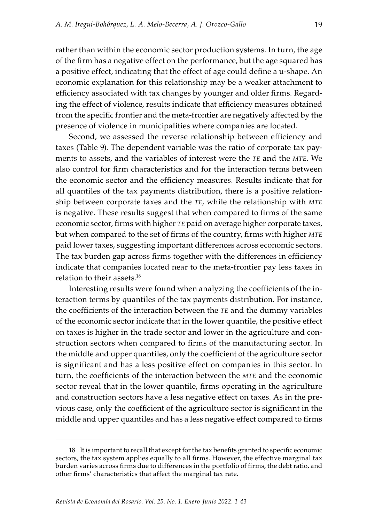rather than within the economic sector production systems. In turn, the age of the firm has a negative effect on the performance, but the age squared has a positive effect, indicating that the effect of age could define a u-shape. An economic explanation for this relationship may be a weaker attachment to efficiency associated with tax changes by younger and older firms. Regarding the effect of violence, results indicate that efficiency measures obtained from the specific frontier and the meta-frontier are negatively affected by the presence of violence in municipalities where companies are located.

Second, we assessed the reverse relationship between efficiency and taxes (Table 9). The dependent variable was the ratio of corporate tax payments to assets, and the variables of interest were the *te* and the *mte*. We also control for firm characteristics and for the interaction terms between the economic sector and the efficiency measures. Results indicate that for all quantiles of the tax payments distribution, there is a positive relationship between corporate taxes and the *te*, while the relationship with *mte* is negative. These results suggest that when compared to firms of the same economic sector, firms with higher *te* paid on average higher corporate taxes, but when compared to the set of firms of the country, firms with higher *mte* paid lower taxes, suggesting important differences across economic sectors. The tax burden gap across firms together with the differences in efficiency indicate that companies located near to the meta-frontier pay less taxes in relation to their assets.18

Interesting results were found when analyzing the coefficients of the interaction terms by quantiles of the tax payments distribution. For instance, the coefficients of the interaction between the *te* and the dummy variables of the economic sector indicate that in the lower quantile, the positive effect on taxes is higher in the trade sector and lower in the agriculture and construction sectors when compared to firms of the manufacturing sector. In the middle and upper quantiles, only the coefficient of the agriculture sector is significant and has a less positive effect on companies in this sector. In turn, the coefficients of the interaction between the *mte* and the economic sector reveal that in the lower quantile, firms operating in the agriculture and construction sectors have a less negative effect on taxes. As in the previous case, only the coefficient of the agriculture sector is significant in the middle and upper quantiles and has a less negative effect compared to firms

<sup>18</sup> It is important to recall that except for the tax benefits granted to specific economic sectors, the tax system applies equally to all firms. However, the effective marginal tax burden varies across firms due to differences in the portfolio of firms, the debt ratio, and other firms' characteristics that affect the marginal tax rate.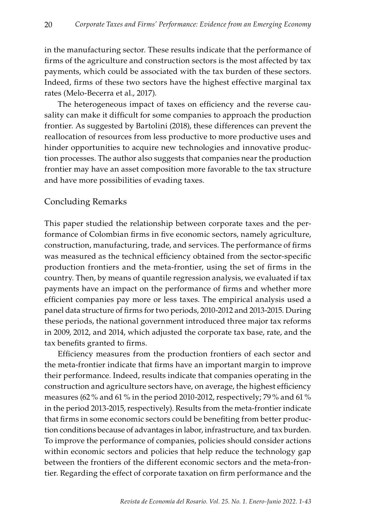in the manufacturing sector. These results indicate that the performance of firms of the agriculture and construction sectors is the most affected by tax payments, which could be associated with the tax burden of these sectors. Indeed, firms of these two sectors have the highest effective marginal tax rates (Melo-Becerra et al., 2017).

The heterogeneous impact of taxes on efficiency and the reverse causality can make it difficult for some companies to approach the production frontier. As suggested by Bartolini (2018), these differences can prevent the reallocation of resources from less productive to more productive uses and hinder opportunities to acquire new technologies and innovative production processes. The author also suggests that companies near the production frontier may have an asset composition more favorable to the tax structure and have more possibilities of evading taxes.

## Concluding Remarks

This paper studied the relationship between corporate taxes and the performance of Colombian firms in five economic sectors, namely agriculture, construction, manufacturing, trade, and services. The performance of firms was measured as the technical efficiency obtained from the sector-specific production frontiers and the meta-frontier, using the set of firms in the country. Then, by means of quantile regression analysis, we evaluated if tax payments have an impact on the performance of firms and whether more efficient companies pay more or less taxes. The empirical analysis used a panel data structure of firms for two periods, 2010-2012 and 2013-2015. During these periods, the national government introduced three major tax reforms in 2009, 2012, and 2014, which adjusted the corporate tax base, rate, and the tax benefits granted to firms.

Efficiency measures from the production frontiers of each sector and the meta-frontier indicate that firms have an important margin to improve their performance. Indeed, results indicate that companies operating in the construction and agriculture sectors have, on average, the highest efficiency measures (62 % and 61 % in the period 2010-2012, respectively; 79 % and 61 % in the period 2013-2015, respectively). Results from the meta-frontier indicate that firms in some economic sectors could be benefiting from better production conditions because of advantages in labor, infrastructure, and tax burden. To improve the performance of companies, policies should consider actions within economic sectors and policies that help reduce the technology gap between the frontiers of the different economic sectors and the meta-frontier. Regarding the effect of corporate taxation on firm performance and the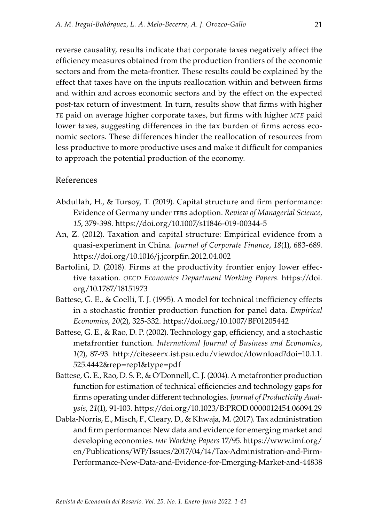reverse causality, results indicate that corporate taxes negatively affect the efficiency measures obtained from the production frontiers of the economic sectors and from the meta-frontier. These results could be explained by the effect that taxes have on the inputs reallocation within and between firms and within and across economic sectors and by the effect on the expected post-tax return of investment. In turn, results show that firms with higher *te* paid on average higher corporate taxes, but firms with higher *mte* paid lower taxes, suggesting differences in the tax burden of firms across economic sectors. These differences hinder the reallocation of resources from less productive to more productive uses and make it difficult for companies to approach the potential production of the economy.

## References

- Abdullah, H., & Tursoy, T. (2019). Capital structure and firm performance: Evidence of Germany under ifrs adoption. *Review of Managerial Science*, *15*, 379-398.<https://doi.org/10.1007/s11846-019-00344-5>
- An, Z. (2012). Taxation and capital structure: Empirical evidence from a quasi-experiment in China. *Journal of Corporate Finance*, *18*(1), 683-689. <https://doi.org/10.1016/j.jcorpfin.2012.04.002>
- Bartolini, D. (2018). Firms at the productivity frontier enjoy lower effective taxation. *oecd Economics Department Working Papers*. [https://doi.](https://doi.org/10.1787/18151973) [org/10.1787/18151973](https://doi.org/10.1787/18151973)
- Battese, G. E., & Coelli, T. J. (1995). A model for technical inefficiency effects in a stochastic frontier production function for panel data. *Empirical Economics*, *20*(2), 325-332.<https://doi.org/10.1007/BF01205442>
- Battese, G. E., & Rao, D. P. (2002). Technology gap, efficiency, and a stochastic metafrontier function. *International Journal of Business and Economics*, *1*(2), 87-93. [http://citeseerx.ist.psu.edu/viewdoc/download?doi=10.1.1.](http://citeseerx.ist.psu.edu/viewdoc/download?doi=10.1.1.525.4442&rep=rep1&type=pdf) [525.4442&rep=rep1&type=pdf](http://citeseerx.ist.psu.edu/viewdoc/download?doi=10.1.1.525.4442&rep=rep1&type=pdf)
- Battese, G. E., Rao, D. S. P., & O'Donnell, C. J. (2004). A metafrontier production function for estimation of technical efficiencies and technology gaps for firms operating under different technologies. *Journal of Productivity Analysis*, *21*(1), 91-103. <https://doi.org/10.1023/B:PROD.0000012454.06094.29>
- Dabla-Norris, E., Misch, F., Cleary, D., & Khwaja, M. (2017). Tax administration and firm performance: New data and evidence for emerging market and developing economies. *imf Working Papers* 17/95. [https://www.imf.org/](https://www.imf.org/en/Publications/WP/Issues/2017/04/14/Tax-Administration-and-Firm-Performance-New-Data-and-Evidence-for-Emerging-Market-and-44838) [en/Publications/WP/Issues/2017/04/14/Tax-Administration-and-Firm-](https://www.imf.org/en/Publications/WP/Issues/2017/04/14/Tax-Administration-and-Firm-Performance-New-Data-and-Evidence-for-Emerging-Market-and-44838)[Performance-New-Data-and-Evidence-for-Emerging-Market-and-44838](https://www.imf.org/en/Publications/WP/Issues/2017/04/14/Tax-Administration-and-Firm-Performance-New-Data-and-Evidence-for-Emerging-Market-and-44838)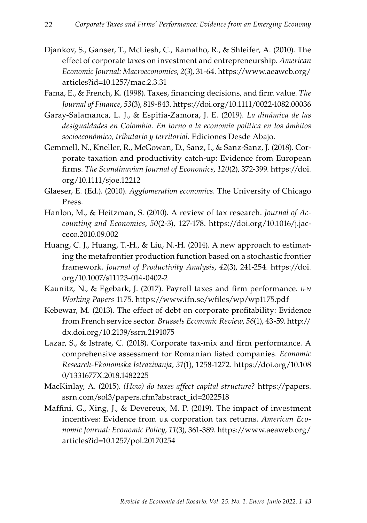- Djankov, S., Ganser, T., McLiesh, C., Ramalho, R., & Shleifer, A. (2010). The effect of corporate taxes on investment and entrepreneurship. *American Economic Journal: Macroeconomics*, *2*(3), 31-64. [https://www.aeaweb.org/](https://www.aeaweb.org/articles?id=10.1257/mac.2.3.31) [articles?id=10.1257/mac.2.3.31](https://www.aeaweb.org/articles?id=10.1257/mac.2.3.31)
- Fama, E., & French, K. (1998). Taxes, financing decisions, and firm value. *The Journal of Finance*, *53*(3), 819-843.<https://doi.org/10.1111/0022-1082.00036>
- Garay-Salamanca, L. J., & Espitia-Zamora, J. E. (2019). *La dinámica de las desigualdades en Colombia. En torno a la economía política en los ámbitos socioeconómico, tributario y territorial*. Ediciones Desde Abajo.
- Gemmell, N., Kneller, R., McGowan, D., Sanz, I., & Sanz-Sanz, J. (2018). Corporate taxation and productivity catch-up: Evidence from European firms. *The Scandinavian Journal of Economics*, *120*(2), 372-399. [https://doi.](https://doi.org/10.1111/sjoe.12212) [org/10.1111/sjoe.12212](https://doi.org/10.1111/sjoe.12212)
- Glaeser, E. (Ed.). (2010). *Agglomeration economics*. The University of Chicago Press.
- Hanlon, M., & Heitzman, S. (2010). A review of tax research. *Journal of Accounting and Economics*, *50*(2-3), 127-178. [https://doi.org/10.1016/j.jac](https://doi.org/10.1016/j.jacceco.2010.09.002)[ceco.2010.09.002](https://doi.org/10.1016/j.jacceco.2010.09.002)
- Huang, C. J., Huang, T.-H., & Liu, N.-H. (2014). A new approach to estimating the metafrontier production function based on a stochastic frontier framework. *Journal of Productivity Analysis*, *42*(3), 241-254. [https://doi.](https://doi.org/10.1007/s11123-014-0402-2) [org/10.1007/s11123-014-0402-2](https://doi.org/10.1007/s11123-014-0402-2)
- Kaunitz, N., & Egebark, J. (2017). Payroll taxes and firm performance. *ifn Working Papers* 1175. <https://www.ifn.se/wfiles/wp/wp1175.pdf>
- Kebewar, M. (2013). The effect of debt on corporate profitability: Evidence from French service sector. *Brussels Economic Review*, *56*(1), 43-59. [http://](https://dx.doi.org/10.2139/ssrn.2191075) [dx.doi.org/10.2139/ssrn.2191075](https://dx.doi.org/10.2139/ssrn.2191075)
- Lazar, S., & Istrate, C. (2018). Corporate tax-mix and firm performance. A comprehensive assessment for Romanian listed companies. *Economic Research-Ekonomska Istrazivanja*, *31*(1), 1258-1272. [https://doi.org/10.108](https://doi.org/10.1080/1331677X.2018.1482225) [0/1331677X.2018.1482225](https://doi.org/10.1080/1331677X.2018.1482225)
- MacKinlay, A. (2015). *(How) do taxes affect capital structure?* [https://papers.](https://papers.ssrn.com/sol3/papers.cfm?abstract_id=2022518) [ssrn.com/sol3/papers.cfm?abstract\\_id=2022518](https://papers.ssrn.com/sol3/papers.cfm?abstract_id=2022518)
- Maffini, G., Xing, J., & Devereux, M. P. (2019). The impact of investment incentives: Evidence from uk corporation tax returns. *American Economic Journal: Economic Policy*, *11*(3), 361-389. [https://www.aeaweb.org/](https://www.aeaweb.org/articles?id=10.1257/pol.20170254) [articles?id=10.1257/pol.20170254](https://www.aeaweb.org/articles?id=10.1257/pol.20170254)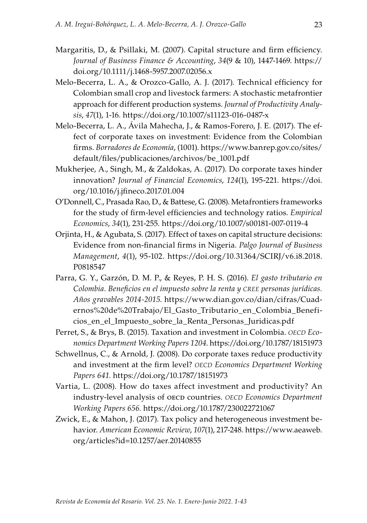- Margaritis, D., & Psillaki, M. (2007). Capital structure and firm efficiency. *Journal of Business Finance & Accounting*, *34*(9 & 10), 1447-1469. [https://](https://doi.org/10.1111/j.1468-5957.2007.02056.x) [doi.org/10.1111/j.1468-5957.2007.02056.x](https://doi.org/10.1111/j.1468-5957.2007.02056.x)
- Melo-Becerra, L. A., & Orozco-Gallo, A. J. (2017). Technical efficiency for Colombian small crop and livestock farmers: A stochastic metafrontier approach for different production systems. *Journal of Productivity Analysis*, *47*(1), 1-16. <https://doi.org/10.1007/s11123-016-0487-x>
- Melo-Becerra, L. A., Ávila Mahecha, J., & Ramos-Forero, J. E. (2017). The effect of corporate taxes on investment: Evidence from the Colombian firms. *Borradores de Economía*, (1001). [https://www.banrep.gov.co/sites/](https://www.banrep.gov.co/sites/default/files/publicaciones/archivos/be_1001.pdf) [default/files/publicaciones/archivos/be\\_1001.pdf](https://www.banrep.gov.co/sites/default/files/publicaciones/archivos/be_1001.pdf)
- Mukherjee, A., Singh, M., & Zaldokas, A. (2017). Do corporate taxes hinder innovation? *Journal of Financial Economics*, *124*(1), 195-221. [https://doi.](https://doi.org/10.1016/j.jfineco.2017.01.004) [org/10.1016/j.jfineco.2017.01.004](https://doi.org/10.1016/j.jfineco.2017.01.004)
- O'Donnell, C., Prasada Rao, D., & Battese, G. (2008). Metafrontiers frameworks for the study of firm-level efficiencies and technology ratios. *Empirical Economics*, *34*(1), 231-255.<https://doi.org/10.1007/s00181-007-0119-4>
- Orjinta, H., & Agubata, S. (2017). Effect of taxes on capital structure decisions: Evidence from non-financial firms in Nigeria. *Palgo Journal of Business Management*, *4*(1), 95-102. [https://doi.org/10.31364/SCIRJ/v6.i8.2018.](http://dx.doi.org/10.31364/SCIRJ/v6.i8.2018.P0818547) [P0818547](http://dx.doi.org/10.31364/SCIRJ/v6.i8.2018.P0818547)
- Parra, G. Y., Garzón, D. M. P., & Reyes, P. H. S. (2016). *El gasto tributario en Colombia. Beneficios en el impuesto sobre la renta y cree personas jurídicas. Años gravables 2014-2015*. [https://www.dian.gov.co/dian/cifras/Cuad](https://www.dian.gov.co/dian/cifras/Cuadernos%20de%20Trabajo/El_Gasto_Tributario_en_Colombia_Beneficios_en_el_Impuesto_sobre_la_Renta_Personas_Juridicas.pdf)[ernos%20de%20Trabajo/El\\_Gasto\\_Tributario\\_en\\_Colombia\\_Benefi](https://www.dian.gov.co/dian/cifras/Cuadernos%20de%20Trabajo/El_Gasto_Tributario_en_Colombia_Beneficios_en_el_Impuesto_sobre_la_Renta_Personas_Juridicas.pdf)[cios\\_en\\_el\\_Impuesto\\_sobre\\_la\\_Renta\\_Personas\\_Juridicas.pdf](https://www.dian.gov.co/dian/cifras/Cuadernos%20de%20Trabajo/El_Gasto_Tributario_en_Colombia_Beneficios_en_el_Impuesto_sobre_la_Renta_Personas_Juridicas.pdf)
- Perret, S., & Brys, B. (2015). Taxation and investment in Colombia. *OECD Economics Department Working Papers 1204*.<https://doi.org/10.1787/18151973>
- Schwellnus, C., & Arnold, J. (2008). Do corporate taxes reduce productivity and investment at the firm level? *oecd Economics Department Working Papers 641*.<https://doi.org/10.1787/18151973>
- Vartia, L. (2008). How do taxes affect investment and productivity? An industry-level analysis of oecd countries. *oecd Economics Department Working Papers 656*. [https://doi.org/10.1787/230022721067](https://dx.doi.org/10.1787/230022721067)
- Zwick, E., & Mahon, J. (2017). Tax policy and heterogeneous investment behavior. *American Economic Review*, *107*(1), 217-248. [https://www.aeaweb.](https://www.aeaweb.org/articles?id=10.1257/aer.20140855) [org/articles?id=10.1257/aer.20140855](https://www.aeaweb.org/articles?id=10.1257/aer.20140855)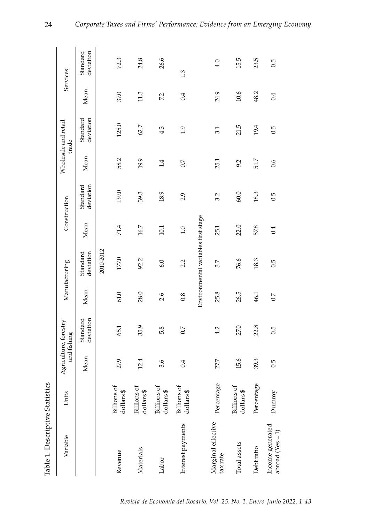| Variable                               | Units                                     |      | Agriculture, forestry<br>and fishing |                  | Manufacturing                       |      | Construction          |      | Wholesale and retail<br>trade |      | Services              |
|----------------------------------------|-------------------------------------------|------|--------------------------------------|------------------|-------------------------------------|------|-----------------------|------|-------------------------------|------|-----------------------|
|                                        |                                           | Mean | deviation<br>Standard                | Mean             | deviation<br>Standard               | Mean | deviation<br>Standard | Mean | deviation<br>Standard         | Mean | deviation<br>Standard |
|                                        |                                           |      |                                      |                  | 2010-2012                           |      |                       |      |                               |      |                       |
| Revenue                                | <b>Billions</b> of<br>dollars\$           | 27.9 | 65.1                                 | 61.0             | 177.0                               | 71.4 | 139.0                 | 58.2 | 125.0                         | 37.0 | 72.3                  |
| Materials                              | <b>Billions</b> of<br>$\oplus$<br>dollars | 12.4 | 35.9                                 | 28.0             | 92.2                                | 16.7 | 39.3                  | 19.9 | 62.7                          | 11.3 | 24.8                  |
| Labor                                  | to sı<br>dollars\$<br>Billion             | 3.6  | 5.8                                  | 2.6              | 6.0                                 | 10.1 | 18.9                  | 1.4  | 4.3                           | 7.2  | 26.6                  |
| Interest payments                      | is of<br>dollars \$<br>Billion            | 0.4  | 0.7                                  | 0.8              | 2.2                                 | 1.0  | 2.9                   | 0.7  | $\ddot{0}$                    | 0.4  | 1.3                   |
|                                        |                                           |      |                                      |                  | Environmental variables first stage |      |                       |      |                               |      |                       |
| Marginal effective<br>tax rate         | Percentage                                | 27.7 | 4.2                                  | 25.8             | 3.7                                 | 25.1 | 3.2                   | 25.1 | 3.1                           | 24.9 | 4.0                   |
| Total assets                           | <b>Billions</b> of<br>dollars\$           | 15.6 | 27.0                                 | 26.5             | 76.6                                | 22.0 | 60.0                  | 9.2  | 21.5                          | 10.6 | 15.5                  |
| Debtratio                              | Percentage                                | 39.3 | 22.8                                 | 46.1             | 18.3                                | 57.8 | 18.3                  | 51.7 | 19.4                          | 48.2 | 23.5                  |
| Income generated<br>abroad $(Yes = 1)$ | Dummy                                     | 0.5  | 0.5                                  | $\overline{0.7}$ | 0.5                                 | 0.4  | 0.5                   | 0.6  | 0.5                           | 0.4  | 0.5                   |

Table 1. Descriptive Statistics Table 1. Descriptive Statistics

24

*Corporate Taxes and Firms' Performance: Evidence from an Emerging Economy*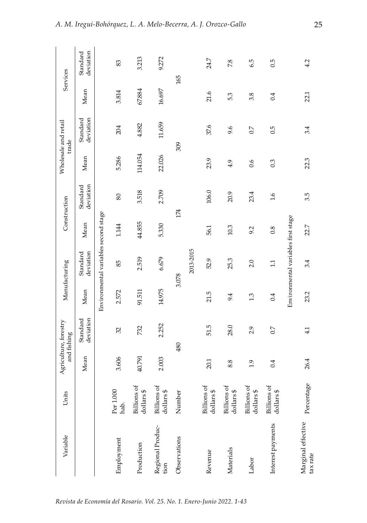| Variable                       | Units                            |               | Agriculture, forestry<br>and fishing |        | Manufacturing                        |        | Construction          |         | Wholesale and retail<br>trade |        | Services              |
|--------------------------------|----------------------------------|---------------|--------------------------------------|--------|--------------------------------------|--------|-----------------------|---------|-------------------------------|--------|-----------------------|
|                                |                                  | Mean          | deviation<br>Standard                | Mean   | deviation<br>Standard                | Mean   | deviation<br>Standard | Mean    | deviation<br>Standard         | Mean   | deviation<br>Standard |
|                                |                                  |               |                                      |        | Environmental variables second stage |        |                       |         |                               |        |                       |
| Employment                     | Per 1.000<br>hab.                | 3.606         | 32                                   | 2.572  | 85                                   | 1.144  | 80                    | 5.286   | 204                           | 3.814  | 83                    |
| Production                     | <b>Billions</b> of<br>dollars\$  | 40.791        | 732                                  | 91.511 | 2.519                                | 44.855 | 3.518                 | 114.054 | 4.882                         | 67.884 | 3.213                 |
| Regional Produc-<br>tion       | <b>Billions</b> of<br>dollars\$  | 2.003         | 2.252                                | 14.975 | 6.679                                | 5.330  | 2.709                 | 22.026  | 11.659                        | 16.697 | 9.272                 |
| Observations                   | đ<br>Numbe                       |               | 480                                  |        | 3.078                                |        | 174                   |         | 309                           |        | 165                   |
|                                |                                  |               |                                      |        | 2013-2015                            |        |                       |         |                               |        |                       |
| Revenue                        | <b>Billions</b> of<br>dollars\$  | 20.1          | 51.5                                 | 21.5   | 52.9                                 | 56.1   | 106.0                 | 23.9    | 37.6                          | 21.6   | 24.7                  |
| Materials                      | <b>Billions</b> of<br>dollars \$ | 8.8           | 28.0                                 | 9.4    | 25.3                                 | 10.3   | 20.9                  | 4.9     | 9.6                           | 5.3    | 7.8                   |
| Labor                          | <b>Billions</b> of<br>dollars \$ | $\frac{1}{2}$ | 2.9                                  | 1.3    | 2.0                                  | 9.2    | 23.4                  | 0.6     | 0.7                           | 3.8    | 6.5                   |
| Interest payments              | <b>Billions</b> of<br>dollars \$ | 0.4           | 0.7                                  | 0.4    | $\Xi$                                | 0.8    | 1.6                   | 0.3     | 0.5                           | 0.4    | 0.5                   |
|                                |                                  |               |                                      |        | Environmental variables first stage  |        |                       |         |                               |        |                       |
| Marginal effective<br>tax rate | Percentage                       | 26.4          | 4.1                                  | 23.2   | 3.4                                  | 22.7   | 3.5                   | 22.3    | 3.4                           | 22.1   | 4.2                   |

25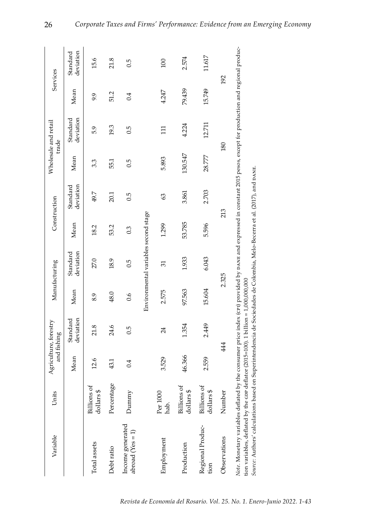| Variable                                                                                                                                                                                                                                                                                                                                                                                  | Units                                 |        | Agriculture, forestry<br>and fishing |        | Manufacturing                        |        | Construction          |         | Wholesale and retail<br>trade |        | Services              |
|-------------------------------------------------------------------------------------------------------------------------------------------------------------------------------------------------------------------------------------------------------------------------------------------------------------------------------------------------------------------------------------------|---------------------------------------|--------|--------------------------------------|--------|--------------------------------------|--------|-----------------------|---------|-------------------------------|--------|-----------------------|
|                                                                                                                                                                                                                                                                                                                                                                                           |                                       | Mean   | deviation<br>Standard                | Mean   | deviation<br>Standard                | Mean   | deviation<br>Standard | Mean    | deviation<br>Standard         | Mean   | deviation<br>Standard |
| Total assets                                                                                                                                                                                                                                                                                                                                                                              | <b>Billions</b> of<br>rs\$<br>dollar  | 12.6   | 21.8                                 | 8.9    | 27.0                                 | 18.2   | 49.7                  | 3.3     | 5.9                           | 9.9    | 15.6                  |
| Debtratio                                                                                                                                                                                                                                                                                                                                                                                 | Percentage                            | 43.1   | 24.6                                 | 48.0   | 18.9                                 | 53.2   | 20.1                  | 55.1    | 19.3                          | 51.2   | 21.8                  |
| Income generated<br>abroad $(Yes = 1)$                                                                                                                                                                                                                                                                                                                                                    | Dummy                                 | 0.4    | 0.5                                  | 0.6    | 0.5                                  | 0.3    | 0.5                   | 0.5     | 0.5                           | 0.4    | 0.5                   |
|                                                                                                                                                                                                                                                                                                                                                                                           |                                       |        |                                      |        | Environmental variables second stage |        |                       |         |                               |        |                       |
| Employment                                                                                                                                                                                                                                                                                                                                                                                | Per 1000<br>hab.                      | 3.529  | 24                                   | 2.575  | 51                                   | 1.299  | 63                    | 5.893   | $\Xi$                         | 4.247  | 100                   |
| Production                                                                                                                                                                                                                                                                                                                                                                                | <b>Billions</b> of<br>rs\$<br>dollar  | 46.366 | 1.354                                | 97.563 | 1.933                                | 53.785 | 3.861                 | 130.547 | 4.224                         | 79.439 | 2.574                 |
| Regional Produc-<br>tion                                                                                                                                                                                                                                                                                                                                                                  | <b>Billions</b> of<br>rs \$<br>dollar | 2.559  | 2.449                                | 15.604 | 6.043                                | 5.596  | 2.703                 | 28.777  | 12.711                        | 15.749 | 11.617                |
| Observations                                                                                                                                                                                                                                                                                                                                                                              | Number                                |        | 444                                  |        | 2.325                                |        | 213                   |         | 180                           |        | 192                   |
| Note. Monetary variables deflated by the consumer price index (crn) provided by DaNE and expressed in constant 2015 pesos, except for production and regional produc-<br>Source: Authors' calculations based on Superintendencia de Sociedades de Colombia, Melo-Becerra et al. (2017), and pa.v.E.<br>tion variables, deflated by the cor deflator (2015=100). 1 billion = 1,000,000,000 |                                       |        |                                      |        |                                      |        |                       |         |                               |        |                       |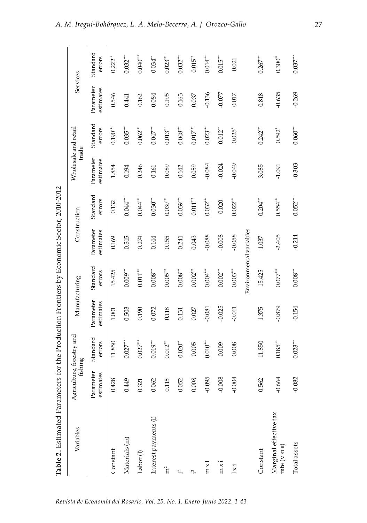| ֧֦֦֧֦֧֧֧֧֝֝֝֬֝֝֝֬֝֬֝֓֝֬֝֓֝֬֝֓֝֬֝֓֟֓֝֬֝֓֟֓֝֬֝֓֟֓<br>֧֪֪֪֪֪֪֪֪֪֪֪֪֪֪֪֪֪֪֪֪֪֪֪֪֪֪֝֝֝֝֝֝֝<br>$\frac{1}{2}$<br>.<br>ו |
|------------------------------------------------------------------------------------------------------------------|
| l                                                                                                                |
| J<br>Ĩ                                                                                                           |
| İ                                                                                                                |
| i<br>;<br>;                                                                                                      |
|                                                                                                                  |
| i                                                                                                                |
| I                                                                                                                |
| ĺ<br>ļ<br>.<br> <br>I                                                                                            |

| Variables                             | Agriculture, forestry and<br>fishing |                    | Manufacturing          |                         | Construction           |                    | Wholesale and retail   | trade                 | Services               |                        |
|---------------------------------------|--------------------------------------|--------------------|------------------------|-------------------------|------------------------|--------------------|------------------------|-----------------------|------------------------|------------------------|
|                                       | Parameter<br>estimates               | Standard<br>errors | Parameter<br>estimates | Standard<br>errors      | Parameter<br>estimates | Standard<br>errors | Parameter<br>estimates | Standard<br>errors    | Parameter<br>estimates | Standard<br>errors     |
| Constant                              | 0.428                                | 11.850             | 1.001                  | 15.425                  | 0.169                  | 0.132              | 1.854                  | $0.190^{***}$         | 0.546                  | $0.222$ <sup>**</sup>  |
| Materials (m)                         | 0.449                                | 0.027              | 0.503                  | $0.009***$              | 0.315                  | $0.044$ ***        | 0.194                  | $0.035***$            | 0.441                  | $0.032***$             |
| Labor $(1)$                           | 0.321                                | $0.027***$         | 0.190                  | $0.011***$              | 0.274                  | $0.044***$         | 0.246                  | $0.062***$            | 0.162                  | $0.040***$             |
| Interest payments (i)                 | 0.062                                | $0.019***$         | 0.072                  | $0.008***$              | 0.144                  | $0.030***$         | 0.161                  | $0.047***$            | 0.084                  | $0.034**$              |
| m <sup>2</sup>                        | 0.115                                | $0.012***$         | 0.118                  | $0.005$ <sup>***</sup>  | 0.155                  | $0.039***$         | 0.089                  | $0.013***$            | 0.195                  | $0.023***$             |
| $\overline{1}$                        | 0.052                                | $0.020^{**}$       | 0.131                  | $0.008***$              | 0.241                  | $0.039***$         | 0.142                  | 0.048'''              | 0.163                  | $0.032***$             |
| 4:                                    | 0.008                                | 0.005              | 0.027                  | $0.002***$              | 0.043                  | $0.011***$         | 0.059                  | $0.017***$            | 0.037                  | $0.015**$              |
| $\sum_{i=1}^{n}$                      | $-0.095$                             | $0.010***$         | $-0.081$               | $0.004***$              | $-0.088$               | $0.032***$         | $-0.084$               | $0.023***$            | $-0.136$               | $0.014***$             |
| mxi                                   | $-0.008$                             | 0.009              | $-0.025$               | $0.002***$              | $-0.008$               | 0.020              | $-0.024$               | $0.012$ <sup>**</sup> | $-0.077$               | $0.015$ <sup>***</sup> |
| $1\times i$                           | $-0.004$                             | 0.008              | $-0.011$               | $0.003***$              | $-0.058$               | $0.022***$         | $-0.049$               | $0.025$ <sup>*</sup>  | 0.017                  | 0.021                  |
|                                       |                                      |                    |                        | Environmental variables |                        |                    |                        |                       |                        |                        |
| Constant                              | 0.562                                | 11.850             | 1.375                  | 15.425                  | 1.037                  | $0.204***$         | 3.085                  | $0.242***$            | 0.818                  | $0.267***$             |
| Marginal effective tax<br>rate (METR) | $-0.664$                             | $0.185***$         | $-0.879$               | $0.077***$              | $-2.405$               | $0.554***$         | $-1.091$               | $0.592*$              | $-0.635$               | $0.300**$              |
| Total assets                          | $-0.082$                             | $0.023***$         | $-0.154$               | $0.008***$              | $-0.214$               | $0.052***$         | $-0.303$               | $0.060***$            | $-0.269$               | $0.037***$             |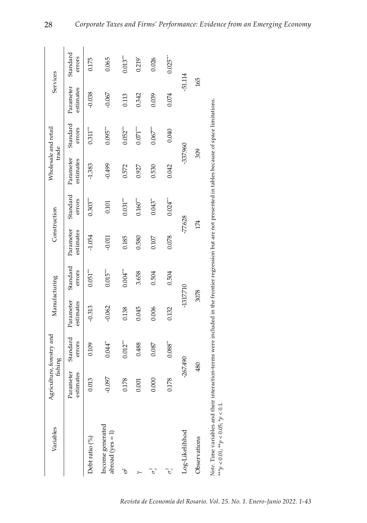| Variables                                                                                                                                               | Agriculture, forestry and<br>fishing |                    | Manufacturing          |                    | Construction           |                    | Wholesale and retail<br>trade |                        | Services               |                      |
|---------------------------------------------------------------------------------------------------------------------------------------------------------|--------------------------------------|--------------------|------------------------|--------------------|------------------------|--------------------|-------------------------------|------------------------|------------------------|----------------------|
|                                                                                                                                                         | Parameter<br>estimates               | Standard<br>errors | Parameter<br>estimates | Standard<br>errors | Parameter<br>estimates | Standard<br>errors | Parameter<br>estimates        | Standard<br>errors     | Parameter<br>estimates | Standard<br>errors   |
| Debt ratio (%)                                                                                                                                          | 0.013                                | 0.109              | $-0.313$               | $0.051***$         | $-1.054$               | $0.303***$         | $-1.383$                      | $0.311***$             | $-0.038$               | 0.175                |
| Income generated<br>abroad ( $yes = 1$ )                                                                                                                | $-0.097$                             | 0.044              | $-0.062$               | $0.015***$         | $-0.011$               | 0.101              | $-0.499$                      | $0.095***$             | $-0.067$               | 0.065                |
| ć                                                                                                                                                       | 0.178                                | $0.012***$         | 0.138                  | $0.004***$         | 0.185                  | $0.031***$         | 0.572                         | $0.052***$             | 0.113                  | $0.013***$           |
|                                                                                                                                                         | 0.001                                | 0.488              | 0.045                  | 3.658              | 0.580                  | $0.160$ $\cdots$   | 0.927                         | $0.071$ <sup>***</sup> | 0.342                  | $0.219$ <sup>*</sup> |
| P,                                                                                                                                                      | 0.000                                | 0.087              | 0.006                  | 0.504              | 0.107                  | $0.043**$          | 0.530                         | $0.067***$             | 0.039                  | 0.026                |
| $\sigma$                                                                                                                                                | 0.178                                | 0.088"             | 0.132                  | 0.504              | 0.078                  | $0.024$ ***        | 0.042                         | 0.040                  | 0.074                  | $0.025***$           |
| Log-Likelihhod                                                                                                                                          | $-267.490$                           |                    | -1317.710              |                    | $-77.628$              |                    | -337.960                      |                        | $-51.114$              |                      |
| Observations                                                                                                                                            | 480                                  |                    | 3078                   |                    | 174                    |                    | 309                           |                        | 165                    |                      |
| Note. Time variables and their interaction-terms were included in the frontier regression but are not presented in tables because of space limitations. |                                      |                    |                        |                    |                        |                    |                               |                        |                        |                      |

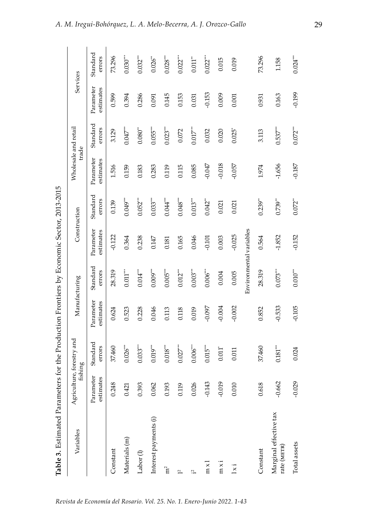| ו<br>י<br>i<br>I<br>$\ddot{\phantom{a}}$<br>֧֧֧֧֧֧ׅ֧֧֧֧֧֧֛֛֪֛֪֧֚֚֚֚֚֚֚֚֚֚֚֚֚֚֚֚֚֚֚֚֚֚֚֚֚֚֚֟֝֝֟֓֝֟֓֝֟֓֜֜֜֜֜֜֜ |  |
|--------------------------------------------------------------------------------------------------------------|--|
| ł                                                                                                            |  |
| i<br>I<br>:<br>;<br>Ĩ                                                                                        |  |
| $-100$                                                                                                       |  |
|                                                                                                              |  |
|                                                                                                              |  |
| $\frac{1}{2}$                                                                                                |  |
| I<br>ļ                                                                                                       |  |
| ;<br> <br>l                                                                                                  |  |

| Variables                             | Agriculture, forestry and<br>fishing |                        | Manufacturing          |                         | Construction           |                       | Wholesale and retail<br>trade |                      | Services               |                       |
|---------------------------------------|--------------------------------------|------------------------|------------------------|-------------------------|------------------------|-----------------------|-------------------------------|----------------------|------------------------|-----------------------|
|                                       | Parameter<br>estimates               | Standard<br>errors     | Parameter<br>estimates | Standard<br>errors      | Parameter<br>estimates | Standard<br>errors    | Parameter<br>estimates        | Standard<br>errors   | Parameter<br>estimates | Standard<br>errors    |
| Constant                              | 0.248                                | 37.460                 | 0.624                  | 28.319                  | $-0.122$               | 0.139                 | 1.516                         | 3.129                | 0.599                  | 73.296                |
| Materials (m)                         | 0.421                                | $0.026$ <sup>***</sup> | 0.523                  | $0.011***$              | 0.364                  | $0.049***$            | 0.159                         | $0.047$ $\cdots$     | 0.394                  | $0.030***$            |
| Labor $(1)$                           | 0.393                                | $0.033***$             | 0.228                  | $0.014***$              | 0.238                  | $0.052***$            | 0.183                         | $0.080**$            | 0.286                  | $0.032***$            |
| Interest payments (i)                 | 0.062                                | $0.019***$             | 0.046                  | $0.009***$              | 0.147                  | $0.033***$            | 0.283                         | $0.055***$           | 0.091                  | $0.026$ <sup>**</sup> |
| m <sup>2</sup>                        | 0.193                                | $0.018***$             | 0.113                  | $0.005$ <sup>***</sup>  | 0.181                  | $0.044***$            | 0.119                         | $0.023***$           | 0.145                  | $0.028***$            |
| $\overline{ }$                        | 0.119                                | 0.027                  | 0.118                  | $0.012***$              | 0.165                  | $0.048***$            | 0.115                         | 0.072                | 0.153                  | $0.022$ $\degree$     |
| $\approx$                             | 0.026                                | $0.006***$             | 0.019                  | $0.003***$              | 0.046                  | $0.013***$            | 0.085                         | $0.017***$           | 0.031                  | $0.011$ <sup>**</sup> |
| $m \times$                            | $-0.143$                             | $0.015***$             | $-0.097$               | $0.006***$              | $-0.101$               | $0.042**$             | $-0.047$                      | 0.032                | $-0.153$               | $0.022***$            |
| mxi                                   | $-0.019$                             | 0.011"                 | $-0.004$               | 0.004                   | 0.003                  | 0.021                 | $-0.018$                      | 0.020                | 0.009                  | 0.015                 |
| $1\times i$                           | 0.010                                | 0.011                  | $-0.002$               | 0.005                   | $-0.025$               | 0.021                 | $-0.057$                      | $0.025$ <sup>*</sup> | 0.001                  | 0.019                 |
|                                       |                                      |                        |                        | Environmental variables |                        |                       |                               |                      |                        |                       |
| Constant                              | 0.618                                | 37.460                 | 0.852                  | 28.319                  | 0.564                  | $0.239**$             | 1.974                         | 3.113                | 0.931                  | 73.296                |
| Marginal effective tax<br>rate (METR) | $-0.662$                             | $0.181^{\ast\ast\ast}$ | $-0.533$               | $0.073***$              | $-1.852$               | $0.739**$             | $-1.656$                      | $0.537***$           | 0.163                  | 1.158                 |
| Total assets                          | $-0.029$                             | 0.024                  | $-0.105$               | $0.010^{***}$           | $-0.152$               | $0.072$ <sup>**</sup> | $-0.187$                      | $0.072***$           | $-0.199$               | $0.024***$            |

29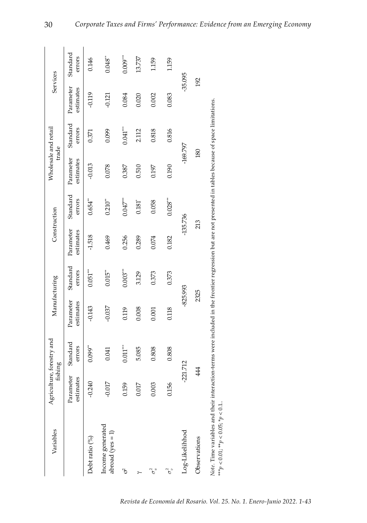| Variables                                                                                                                                               | Agriculture, forestry and<br>fishing |                    | Manufacturing          |                       | Construction           |                       | Wholesale and retail<br>trade |                    | Services               |                    |
|---------------------------------------------------------------------------------------------------------------------------------------------------------|--------------------------------------|--------------------|------------------------|-----------------------|------------------------|-----------------------|-------------------------------|--------------------|------------------------|--------------------|
|                                                                                                                                                         | Parameter<br>estimates               | Standard<br>errors | Parameter<br>estimates | Standard<br>errors    | Parameter<br>estimates | Standard<br>errors    | Parameter<br>estimates        | Standard<br>errors | Parameter<br>estimates | Standard<br>errors |
| Debt ratio (%)                                                                                                                                          | $-0.240$                             | $0.099**$          | $-0.143$               | $0.051***$            | $-1.518$               | $0.654$ <sup>**</sup> | $-0.013$                      | 0.371              | $-0.119$               | 0.146              |
| Income generated<br>$abroad(yes = 1)$                                                                                                                   | $-0.017$                             | 0.041              | $-0.037$               | $0.015$ <sup>**</sup> | 0.469                  | $0.210^{**}$          | 0.078                         | 0.099              | $-0.121$               | $0.048**$          |
| ъ                                                                                                                                                       | 0.159                                | $0.011***$         | 0.119                  | $0.003***$            | 0.256                  | $0.047***$            | 0.387                         | $0.041***$         | 0.084                  | $0.009***$         |
|                                                                                                                                                         | 0.017                                | 5.085              | 0.008                  | 3.129                 | 0.289                  | $0.181^{*}$           | 0.510                         | 2.112              | 0.020                  | 13.737             |
| $\sigma_u^2$                                                                                                                                            | 0.003                                | 0.808              | 0.001                  | 0.373                 | 0.074                  | 0.058                 | 0.197                         | 0.818              | 0.002                  | 1.159              |
| ρ,                                                                                                                                                      | 0.156                                | 0.808              | 0.118                  | 0.373                 | 0.182                  | 0.028'''              | 0.190                         | 0.816              | 0.083                  | 1.159              |
| Log-Likelihhod                                                                                                                                          | $-221.712$                           |                    | $-825.993$             |                       | $-135.736$             |                       | $-169.797$                    |                    | $-35.095$              |                    |
| Observations                                                                                                                                            | 444                                  |                    | 2325                   |                       | 213                    |                       | 180                           |                    | 192                    |                    |
| Note. Time variables and their interaction-terms were included in the frontier regression but are not presented in tables because of space limitations. |                                      |                    |                        |                       |                        |                       |                               |                    |                        |                    |

 $^{***}p<0.01;^{**}p<0.05;^{*}p<0.1...$ *\*\*\*p* < 0.01; \*\**p* < 0.05; \**p* < 0.1..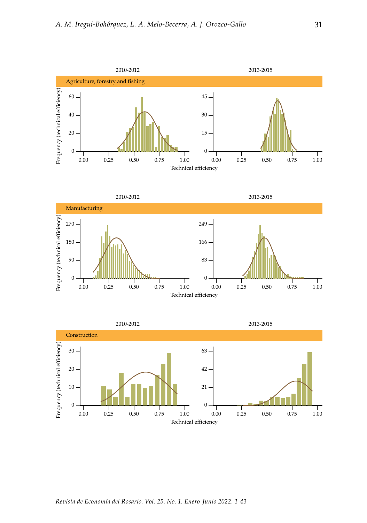





*Revista de Economía del Rosario. Vol. 25. No. 1. Enero-Junio 2022. 1-43*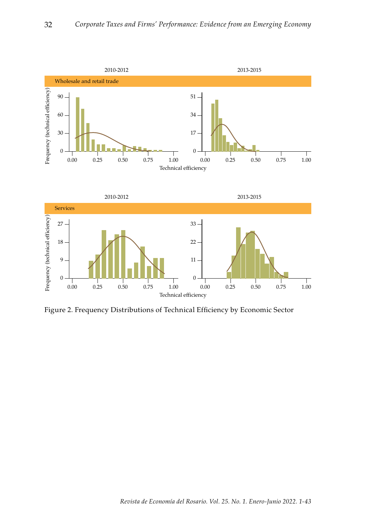



Figure 2. Frequency Distributions of Technical Efficiency by Economic Sector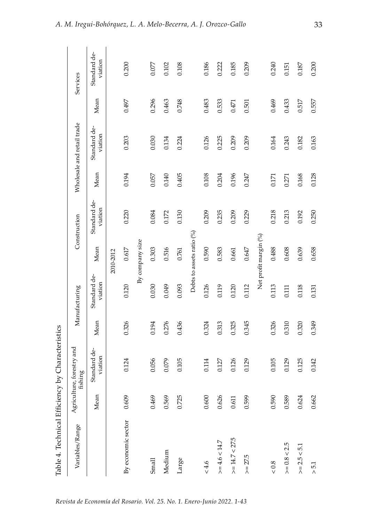| Table 4. Technical Efficiency by Characteristics |       |                                      |       |                         |                           |                         |       |                            |       |                         |
|--------------------------------------------------|-------|--------------------------------------|-------|-------------------------|---------------------------|-------------------------|-------|----------------------------|-------|-------------------------|
| Variables/Range                                  |       | Agriculture, forestry and<br>fishing |       | Manufacturing           |                           | Construction            |       | Wholesale and retail trade |       | Services                |
|                                                  | Mean  | Standard de-<br>viation              | Mean  | Standard de-<br>viation | Mean                      | Standard de-<br>viation | Mean  | Standard de-<br>viation    | Mean  | Standard de-<br>viation |
|                                                  |       |                                      |       |                         | 2010-2012                 |                         |       |                            |       |                         |
| By economic sector                               | 0.609 | 0.124                                | 0.326 | 0.120                   | 0.617                     | 0.220                   | 0.194 | 0.203                      | 0.497 | 0.200                   |
|                                                  |       |                                      |       |                         | By company size           |                         |       |                            |       |                         |
| Small                                            | 0.469 | 0.056                                | 0.194 | 0.030                   | 0.303                     | 0.084                   | 0.057 | 0.030                      | 0.296 | 0.077                   |
| Medium                                           | 0.569 | 0.079                                | 0.276 | 0.049                   | 0.516                     | 0.172                   | 0.140 | 0.134                      | 0.463 | 0.102                   |
| Large                                            | 0.725 | 0.105                                | 0.436 | 0.093                   | 0.761                     | 0.130                   | 0.405 | 0.224                      | 0.748 | 0.108                   |
|                                                  |       |                                      |       |                         | Debts to assets ratio (%) |                         |       |                            |       |                         |
| $< 4.6$                                          | 0.600 | 0.114                                | 0.324 | 0.126                   | 0.590                     | 0.209                   | 0.108 | 0.126                      | 0.483 | 0.186                   |
| $>= 4.6 < 14.7$                                  | 0.626 | 0.127                                | 0.313 | 0.119                   | 0.583                     | 0.235                   | 0.204 | 0.225                      | 0.533 | 0.222                   |
| $>= 14.7 < 27.5$                                 | 0.611 | 0.126                                | 0.325 | 0.120                   | 0.661                     | 0.209                   | 0.196 | 0.209                      | 0.471 | 0.185                   |
| $>= 27.5$                                        | 0.599 | 0.129                                | 0.345 | 0.112                   | 0.647                     | 0.229                   | 0.247 | 0.209                      | 0.501 | 0.209                   |
|                                                  |       |                                      |       |                         | Net profit margin (%)     |                         |       |                            |       |                         |
| $< 0.8$                                          | 0.590 | 0.105                                | 0.326 | 0.113                   | 0.488                     | 0.218                   | 0.171 | 0.164                      | 0.469 | 0.240                   |
| $>= 0.8 < 2.5$                                   | 0.589 | 0.129                                | 0.310 | 0.111                   | 0.608                     | 0.213                   | 0.271 | 0.243                      | 0.433 | 0.151                   |
| $>= 2.5 < 5.1$                                   | 0.624 | 0.125                                | 0.320 | 0.118                   | 0.639                     | 0.192                   | 0.168 | 0.182                      | 0.517 | 0.187                   |
| $> 5.1$                                          | 0.662 | 0.142                                | 0.349 | 0.131                   | 0.658                     | 0.250                   | 0.128 | 0.163                      | 0.557 | 0.200                   |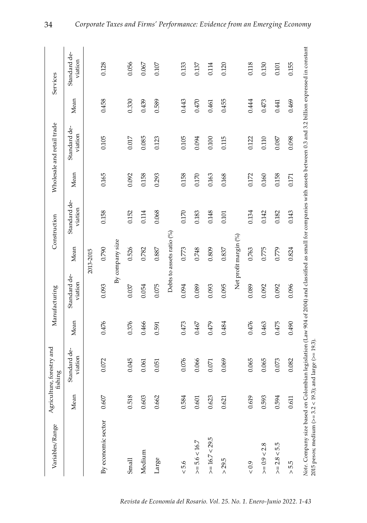| Variables/Range                                                                                                                                                                                                                       |       | Agriculture, forestry and<br>fishing |       | Manufacturing           |                           | Construction            |       | Wholesale and retail trade |       | Services                |
|---------------------------------------------------------------------------------------------------------------------------------------------------------------------------------------------------------------------------------------|-------|--------------------------------------|-------|-------------------------|---------------------------|-------------------------|-------|----------------------------|-------|-------------------------|
|                                                                                                                                                                                                                                       | Mean  | Standard de-<br>viation              | Mean  | Standard de-<br>viation | Mean                      | Standard de-<br>viation | Mean  | Standard de-<br>viation    | Mean  | Standard de-<br>viation |
|                                                                                                                                                                                                                                       |       |                                      |       |                         | 2013-2015                 |                         |       |                            |       |                         |
| By economic sector                                                                                                                                                                                                                    | 0.607 | 0.072                                | 0.476 | 0.093                   | 0.790                     | 0.158                   | 0.165 | 0.105                      | 0.458 | 0.128                   |
|                                                                                                                                                                                                                                       |       |                                      |       |                         | By company size           |                         |       |                            |       |                         |
| Small                                                                                                                                                                                                                                 | 0.518 | 0.045                                | 0.376 | 0.037                   | 0.526                     | 0.152                   | 0.092 | 0.017                      | 0.330 | 0.056                   |
| Medium                                                                                                                                                                                                                                | 0.603 | 0.061                                | 0.466 | 0.054                   | 0.782                     | 0.114                   | 0.158 | 0.085                      | 0.439 | 0.067                   |
| Large                                                                                                                                                                                                                                 | 0.662 | 0.051                                | 0.591 | 0.075                   | 0.887                     | 0.068                   | 0.293 | 0.123                      | 0.589 | 0.107                   |
|                                                                                                                                                                                                                                       |       |                                      |       |                         | Debts to assets ratio (%) |                         |       |                            |       |                         |
| $< 5.6$                                                                                                                                                                                                                               | 0.584 | 0.076                                | 0.473 | 0.094                   | 0.773                     | 0.170                   | 0.158 | 0.105                      | 0.443 | 0.133                   |
| $>= 5.6 < 16.7$                                                                                                                                                                                                                       | 0.601 | 0.066                                | 0.467 | 0.089                   | 0.748                     | 0.183                   | 0.170 | 0.094                      | 0.470 | 0.137                   |
| $>= 16.7 < 29.5$                                                                                                                                                                                                                      | 0.623 | 0.071                                | 0.479 | 0.093                   | 0.809                     | 0.148                   | 0.163 | 0.100                      | 0.461 | 0.114                   |
| $>$ 29.5                                                                                                                                                                                                                              | 0.621 | 0.069                                | 0.484 | 0.095                   | 0.837                     | 0.101                   | 0.168 | 0.115                      | 0.455 | 0.120                   |
|                                                                                                                                                                                                                                       |       |                                      |       |                         | Net profit margin (%)     |                         |       |                            |       |                         |
| 0.9                                                                                                                                                                                                                                   | 0.619 | 0.065                                | 0.476 | 0.089                   | 0.763                     | 0.134                   | 0.172 | 0.122                      | 0.444 | 0.118                   |
| $>= 0.9 < 2.8$                                                                                                                                                                                                                        | 0.593 | 0.065                                | 0.463 | 0.092                   | 0.775                     | 0.142                   | 0.160 | 0.110                      | 0.473 | 0.130                   |
| $>= 2.8 < 5.5$                                                                                                                                                                                                                        | 0.594 | 0.073                                | 0.475 | 0.092                   | 0.779                     | 0.182                   | 0.158 | 0.087                      | 0.441 | 0.101                   |
| > 5.5                                                                                                                                                                                                                                 | 0.611 | 0.082                                | 0.490 | 0.096                   | 0.824                     | 0.143                   | 0.171 | 0.098                      | 0.469 | 0.155                   |
| Note. Company size based on Colombian legislation (Law 904 of 2004) and classified as small for companies with assets between 0.3 and 3.2 billion expressed in constant<br>2015 pesos; medium (>= $3.2 < 19.3$ ); and large (>= 19.3) |       |                                      |       |                         |                           |                         |       |                            |       |                         |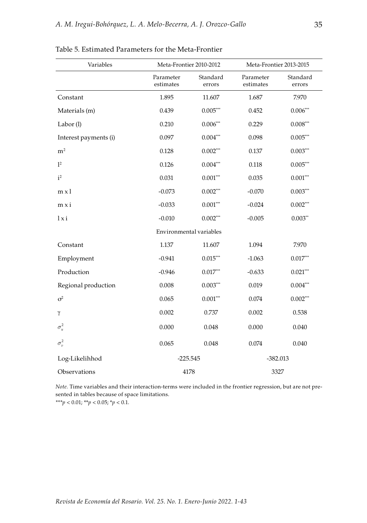| Variables             | Meta-Frontier 2010-2012 |                    | Meta-Frontier 2013-2015 |                        |
|-----------------------|-------------------------|--------------------|-------------------------|------------------------|
|                       | Parameter<br>estimates  | Standard<br>errors | Parameter<br>estimates  | Standard<br>errors     |
| Constant              | 1.895                   | 11.607             | 1.687                   | 7.970                  |
| Materials (m)         | 0.439                   | $0.005***$         | 0.452                   | $0.006***$             |
| Labor(l)              | 0.210                   | $0.006***$         | 0.229                   | $0.008^{\ast\ast\ast}$ |
| Interest payments (i) | 0.097                   | $0.004***$         | 0.098                   | $0.005^{***}$          |
| m <sup>2</sup>        | 0.128                   | $0.002***$         | 0.137                   | $0.003***$             |
| 1 <sup>2</sup>        | 0.126                   | $0.004***$         | 0.118                   | $0.005***$             |
| i <sup>2</sup>        | 0.031                   | $0.001***$         | 0.035                   | $0.001***$             |
| $m \times l$          | $-0.073$                | $0.002***$         | $-0.070$                | $0.003***$             |
| $mx$ i                | $-0.033$                | $0.001***$         | $-0.024$                | $0.002***$             |
| 1xi                   | $-0.010$                | $0.002***$         | $-0.005$                | $0.003**$              |
|                       | Environmental variables |                    |                         |                        |
| Constant              | 1.137                   | 11.607             | 1.094                   | 7.970                  |
| Employment            | $-0.941$                | $0.015***$         | $-1.063$                | $0.017***$             |
| Production            | $-0.946$                | $0.017***$         | $-0.633$                | $0.021***$             |
| Regional production   | 0.008                   | $0.003***$         | 0.019                   | $0.004***$             |
| $\sigma^2$            | 0.065                   | $0.001***$         | 0.074                   | $0.002^{***}$          |
| γ                     | 0.002                   | 0.737              | 0.002                   | 0.538                  |
| $\sigma_u^2$          | 0.000                   | 0.048              | 0.000                   | 0.040                  |
| $\sigma_n^2$          | 0.065                   | 0.048              | 0.074                   | 0.040                  |
| Log-Likelihhod        | $-225.545$              |                    | $-382.013$              |                        |
| Observations          | 4178                    |                    | 3327                    |                        |

Table 5. Estimated Parameters for the Meta-Frontier

*Note.* Time variables and their interaction-terms were included in the frontier regression, but are not presented in tables because of space limitations.

*\*\*\*p* < 0.01; \*\**p* < 0.05; \**p* < 0.1.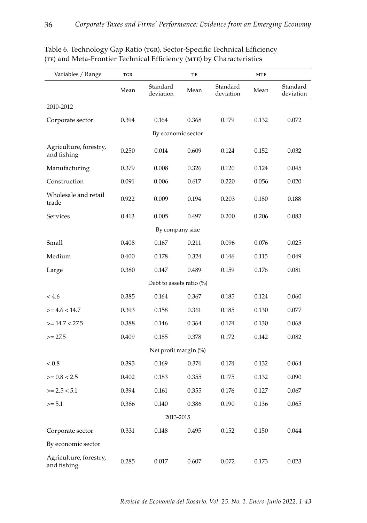| Variables / Range                     | TGR   |                             | TE    |                       | $\operatorname{\mathbf{MTE}}$ |                       |
|---------------------------------------|-------|-----------------------------|-------|-----------------------|-------------------------------|-----------------------|
|                                       | Mean  | Standard<br>deviation       | Mean  | Standard<br>deviation | Mean                          | Standard<br>deviation |
| 2010-2012                             |       |                             |       |                       |                               |                       |
| Corporate sector                      | 0.394 | 0.164                       | 0.368 | 0.179                 | 0.132                         | 0.072                 |
|                                       |       | By economic sector          |       |                       |                               |                       |
| Agriculture, forestry,<br>and fishing | 0.250 | 0.014                       | 0.609 | 0.124                 | 0.152                         | 0.032                 |
| Manufacturing                         | 0.379 | 0.008                       | 0.326 | 0.120                 | 0.124                         | 0.045                 |
| Construction                          | 0.091 | 0.006                       | 0.617 | 0.220                 | 0.056                         | 0.020                 |
| Wholesale and retail<br>trade         | 0.922 | 0.009                       | 0.194 | 0.203                 | 0.180                         | 0.188                 |
| <b>Services</b>                       | 0.413 | 0.005                       | 0.497 | 0.200                 | 0.206                         | 0.083                 |
|                                       |       | By company size             |       |                       |                               |                       |
| Small                                 | 0.408 | 0.167                       | 0.211 | 0.096                 | 0.076                         | 0.025                 |
| Medium                                | 0.400 | 0.178                       | 0.324 | 0.146                 | 0.115                         | 0.049                 |
| Large                                 | 0.380 | 0.147                       | 0.489 | 0.159                 | 0.176                         | 0.081                 |
|                                       |       | Debt to assets ratio $(\%)$ |       |                       |                               |                       |
| < 4.6                                 | 0.385 | 0.164                       | 0.367 | 0.185                 | 0.124                         | 0.060                 |
| $>= 4.6 < 14.7$                       | 0.393 | 0.158                       | 0.361 | 0.185                 | 0.130                         | 0.077                 |
| $>= 14.7 < 27.5$                      | 0.388 | 0.146                       | 0.364 | 0.174                 | 0.130                         | 0.068                 |
| $>= 27.5$                             | 0.409 | 0.185                       | 0.378 | 0.172                 | 0.142                         | 0.082                 |
|                                       |       | Net profit margin (%)       |       |                       |                               |                       |
| < 0.8                                 | 0.393 | 0.169                       | 0.374 | 0.174                 | 0.132                         | 0.064                 |
| $>= 0.8 < 2.5$                        | 0.402 | 0.183                       | 0.355 | 0.175                 | 0.132                         | 0.090                 |
| $>= 2.5 < 5.1$                        | 0.394 | 0.161                       | 0.355 | 0.176                 | 0.127                         | 0.067                 |
| $>= 5.1$                              | 0.386 | 0.140                       | 0.386 | 0.190                 | 0.136                         | 0.065                 |
|                                       |       | 2013-2015                   |       |                       |                               |                       |
| Corporate sector                      | 0.331 | 0.148                       | 0.495 | 0.152                 | 0.150                         | 0.044                 |
| By economic sector                    |       |                             |       |                       |                               |                       |
| Agriculture, forestry,<br>and fishing | 0.285 | 0.017                       | 0.607 | 0.072                 | 0.173                         | 0.023                 |

## Table 6. Technology Gap Ratio (TGR), Sector-Specific Technical Efficiency (te) and Meta-Frontier Technical Efficiency (mte) by Characteristics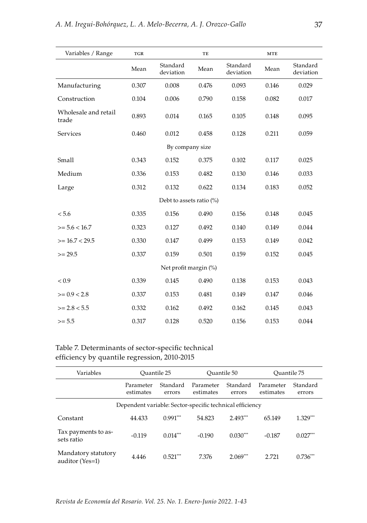| Variables / Range             | $_{\rm TGR}$ |                             | TE    |                       | <b>MTE</b> |                       |
|-------------------------------|--------------|-----------------------------|-------|-----------------------|------------|-----------------------|
|                               | Mean         | Standard<br>deviation       | Mean  | Standard<br>deviation | Mean       | Standard<br>deviation |
| Manufacturing                 | 0.307        | 0.008                       | 0.476 | 0.093                 | 0.146      | 0.029                 |
| Construction                  | 0.104        | 0.006                       | 0.790 | 0.158                 | 0.082      | 0.017                 |
| Wholesale and retail<br>trade | 0.893        | 0.014                       | 0.165 | 0.105                 | 0.148      | 0.095                 |
| Services                      | 0.460        | 0.012                       | 0.458 | 0.128                 | 0.211      | 0.059                 |
|                               |              | By company size             |       |                       |            |                       |
| Small                         | 0.343        | 0.152                       | 0.375 | 0.102                 | 0.117      | 0.025                 |
| Medium                        | 0.336        | 0.153                       | 0.482 | 0.130                 | 0.146      | 0.033                 |
| Large                         | 0.312        | 0.132                       | 0.622 | 0.134                 | 0.183      | 0.052                 |
|                               |              | Debt to assets ratio $(\%)$ |       |                       |            |                       |
| < 5.6                         | 0.335        | 0.156                       | 0.490 | 0.156                 | 0.148      | 0.045                 |
| $>= 5.6 < 16.7$               | 0.323        | 0.127                       | 0.492 | 0.140                 | 0.149      | 0.044                 |
| $>= 16.7 < 29.5$              | 0.330        | 0.147                       | 0.499 | 0.153                 | 0.149      | 0.042                 |
| $>= 29.5$                     | 0.337        | 0.159                       | 0.501 | 0.159                 | 0.152      | 0.045                 |
|                               |              | Net profit margin (%)       |       |                       |            |                       |
| < 0.9                         | 0.339        | 0.145                       | 0.490 | 0.138                 | 0.153      | 0.043                 |
| $>= 0.9 < 2.8$                | 0.337        | 0.153                       | 0.481 | 0.149                 | 0.147      | 0.046                 |
| $>= 2.8 < 5.5$                | 0.332        | 0.162                       | 0.492 | 0.162                 | 0.145      | 0.043                 |
| $>= 5.5$                      | 0.317        | 0.128                       | 0.520 | 0.156                 | 0.153      | 0.044                 |

Table 7. Determinants of sector-specific technical efficiency by quantile regression, 2010-2015

| Variables                              | Ouantile 25            |                    | Ouantile 50                                              |                    | Ouantile 75            |                    |
|----------------------------------------|------------------------|--------------------|----------------------------------------------------------|--------------------|------------------------|--------------------|
|                                        | Parameter<br>estimates | Standard<br>errors | Parameter<br>estimates                                   | Standard<br>errors | Parameter<br>estimates | Standard<br>errors |
|                                        |                        |                    | Dependent variable: Sector-specific technical efficiency |                    |                        |                    |
| Constant                               | 44.433                 | $0.991***$         | 54.823                                                   | $2.493***$         | 65.149                 | $1.329***$         |
| Tax payments to as-<br>sets ratio      | $-0.119$               | $0.014***$         | $-0.190$                                                 | $0.030***$         | $-0.187$               | $0.027***$         |
| Mandatory statutory<br>auditor (Yes=1) | 4.446                  | $0.521***$         | 7.376                                                    | $2.069***$         | 2.721                  | $0.736***$         |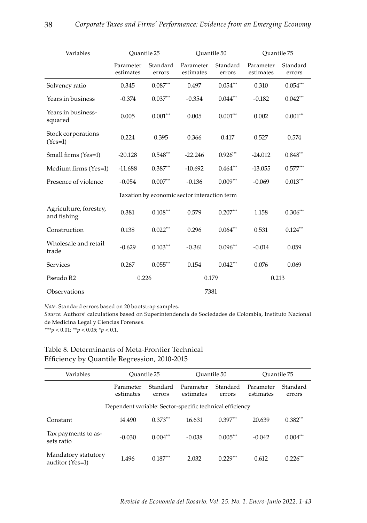| Variables                             | Ouantile 25            |                    | Ouantile 50                                  |                    | Ouantile 75            |                    |
|---------------------------------------|------------------------|--------------------|----------------------------------------------|--------------------|------------------------|--------------------|
|                                       | Parameter<br>estimates | Standard<br>errors | Parameter<br>estimates                       | Standard<br>errors | Parameter<br>estimates | Standard<br>errors |
| Solvency ratio                        | 0.345                  | $0.087***$         | 0.497                                        | $0.054***$         | 0.310                  | $0.054***$         |
| Years in business                     | $-0.374$               | $0.037***$         | $-0.354$                                     | $0.044***$         | $-0.182$               | $0.042***$         |
| Years in business-<br>squared         | 0.005                  | $0.001***$         | 0.005                                        | $0.001***$         | 0.002                  | $0.001***$         |
| Stock corporations<br>$(Yes=1)$       | 0.224                  | 0.395              | 0.366                                        | 0.417              | 0.527                  | 0.574              |
| Small firms (Yes=1)                   | $-20.128$              | $0.548***$         | $-22.246$                                    | $0.926***$         | $-24.012$              | $0.848***$         |
| Medium firms (Yes=1)                  | $-11.688$              | $0.387***$         | $-10.692$                                    | $0.464***$         | $-13.055$              | $0.577***$         |
| Presence of violence                  | $-0.054$               | $0.007***$         | $-0.136$                                     | $0.009***$         | $-0.069$               | $0.013***$         |
|                                       |                        |                    | Taxation by economic sector interaction term |                    |                        |                    |
| Agriculture, forestry,<br>and fishing | 0.381                  | $0.108***$         | 0.579                                        | $0.207***$         | 1.158                  | $0.306***$         |
| Construction                          | 0.138                  | $0.022***$         | 0.296                                        | $0.064***$         | 0.531                  | $0.124***$         |
| Wholesale and retail<br>trade         | $-0.629$               | $0.103***$         | $-0.361$                                     | $0.096***$         | $-0.014$               | 0.059              |
| Services                              | 0.267                  | $0.055***$         | 0.154                                        | $0.042***$         | 0.076                  | 0.069              |
| Pseudo R2                             | 0.226                  |                    | 0.179                                        |                    | 0.213                  |                    |
| Observations                          |                        |                    | 7381                                         |                    |                        |                    |

*Note.* Standard errors based on 20 bootstrap samples.

*Source:* Authors' calculations based on Superintendencia de Sociedades de Colombia, Instituto Nacional de Medicina Legal y Ciencias Forenses.

*\*\*\*p* < 0.01; \*\**p* < 0.05; \**p* < 0.1.

| Efficiency by Quantile Regression, 2010-2015     |  |
|--------------------------------------------------|--|
| Table 8. Determinants of Meta-Frontier Technical |  |

| Variables                              | Ouantile 25                                              |                    | Ouantile 50            |                    | Ouantile 75            |                    |
|----------------------------------------|----------------------------------------------------------|--------------------|------------------------|--------------------|------------------------|--------------------|
|                                        | Parameter<br>estimates                                   | Standard<br>errors | Parameter<br>estimates | Standard<br>errors | Parameter<br>estimates | Standard<br>errors |
|                                        | Dependent variable: Sector-specific technical efficiency |                    |                        |                    |                        |                    |
| Constant                               | 14.490                                                   | $0.373***$         | 16.631                 | $0.397***$         | 20.639                 | $0.382***$         |
| Tax payments to as-<br>sets ratio      | $-0.030$                                                 | $0.004***$         | $-0.038$               | $0.005***$         | $-0.042$               | $0.004***$         |
| Mandatory statutory<br>auditor (Yes=1) | 1.496                                                    | $0.187***$         | 2.032                  | $0.229***$         | 0.612                  | $0.226***$         |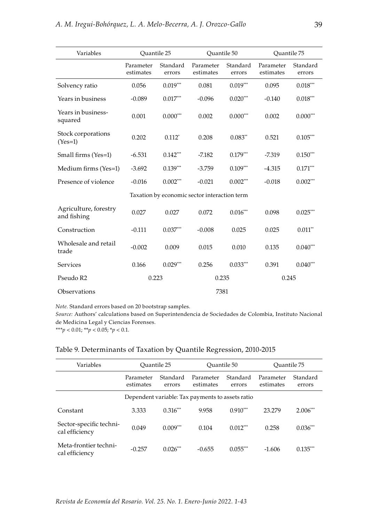| Variables                            | Ouantile 25            |                    | Ouantile 50                                  |                    | Ouantile 75            |                        |
|--------------------------------------|------------------------|--------------------|----------------------------------------------|--------------------|------------------------|------------------------|
|                                      | Parameter<br>estimates | Standard<br>errors | Parameter<br>estimates                       | Standard<br>errors | Parameter<br>estimates | Standard<br>errors     |
| Solvency ratio                       | 0.056                  | $0.019***$         | 0.081                                        | $0.019***$         | 0.095                  | $0.018^{\ast\ast\ast}$ |
| Years in business                    | $-0.089$               | $0.017***$         | $-0.096$                                     | $0.020***$         | $-0.140$               | $0.018***$             |
| Years in business-<br>squared        | 0.001                  | $0.000***$         | 0.002                                        | $0.000***$         | 0.002                  | $0.000***$             |
| Stock corporations<br>$(Yes=1)$      | 0.202                  | $0.112*$           | 0.208                                        | $0.083**$          | 0.521                  | $0.105***$             |
| Small firms (Yes=1)                  | $-6.531$               | $0.142***$         | $-7.182$                                     | $0.179***$         | $-7.319$               | $0.150***$             |
| Medium firms (Yes=1)                 | $-3.692$               | $0.139***$         | $-3.759$                                     | $0.109***$         | $-4.315$               | $0.171***$             |
| Presence of violence                 | $-0.016$               | $0.002***$         | $-0.021$                                     | $0.002***$         | $-0.018$               | $0.002***$             |
|                                      |                        |                    | Taxation by economic sector interaction term |                    |                        |                        |
| Agriculture, forestry<br>and fishing | 0.027                  | 0.027              | 0.072                                        | $0.016***$         | 0.098                  | $0.025***$             |
| Construction                         | $-0.111$               | $0.037***$         | $-0.008$                                     | 0.025              | 0.025                  | $0.011**$              |
| Wholesale and retail<br>trade        | $-0.002$               | 0.009              | 0.015                                        | 0.010              | 0.135                  | $0.040***$             |
| Services                             | 0.166                  | $0.029***$         | 0.256                                        | $0.033***$         | 0.391                  | $0.040***$             |
| Pseudo R2                            | 0.223                  |                    | 0.235                                        |                    | 0.245                  |                        |
| Observations                         |                        |                    | 7381                                         |                    |                        |                        |

*Note.* Standard errors based on 20 bootstrap samples.

*Source:* Authors' calculations based on Superintendencia de Sociedades de Colombia, Instituto Nacional de Medicina Legal y Ciencias Forenses.

*\*\*\*p* < 0.01; \*\**p* < 0.05; \**p* < 0.1.

#### Table 9. Determinants of Taxation by Quantile Regression, 2010-2015

| Variables                                 | Ouantile 25            |                    | Ouantile 50                                      |                    | Ouantile 75            |                    |
|-------------------------------------------|------------------------|--------------------|--------------------------------------------------|--------------------|------------------------|--------------------|
|                                           | Parameter<br>estimates | Standard<br>errors | Parameter<br>estimates                           | Standard<br>errors | Parameter<br>estimates | Standard<br>errors |
|                                           |                        |                    | Dependent variable: Tax payments to assets ratio |                    |                        |                    |
| Constant                                  | 3.333                  | $0.316***$         | 9.958                                            | $0.910***$         | 23.279                 | $2.006***$         |
| Sector-specific techni-<br>cal efficiency | 0.049                  | $0.009***$         | 0.104                                            | $0.012***$         | 0.258                  | $0.036***$         |
| Meta-frontier techni-<br>cal efficiency   | $-0.257$               | $0.026***$         | $-0.655$                                         | $0.055***$         | $-1.606$               | $0.135***$         |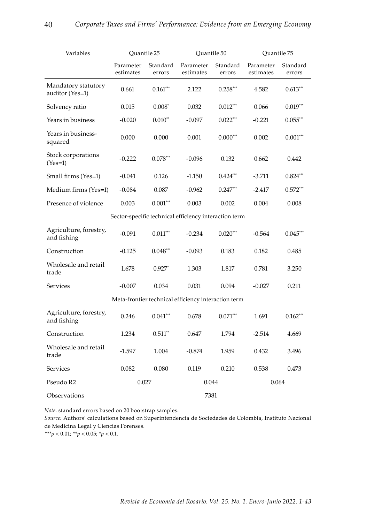| Variables                              | Quantile 25            |                      | Quantile 50                                           |                    | Quantile 75            |                    |
|----------------------------------------|------------------------|----------------------|-------------------------------------------------------|--------------------|------------------------|--------------------|
|                                        | Parameter<br>estimates | Standard<br>errors   | Parameter<br>estimates                                | Standard<br>errors | Parameter<br>estimates | Standard<br>errors |
| Mandatory statutory<br>auditor (Yes=1) | 0.661                  | $0.161***$           | 2.122                                                 | $0.258***$         | 4.582                  | $0.613***$         |
| Solvency ratio                         | 0.015                  | $0.008*$             | 0.032                                                 | $0.012***$         | 0.066                  | $0.019***$         |
| Years in business                      | $-0.020$               | $0.010**$            | $-0.097$                                              | $0.022***$         | $-0.221$               | $0.055***$         |
| Years in business-<br>squared          | 0.000                  | 0.000                | 0.001                                                 | $0.000***$         | 0.002                  | $0.001***$         |
| Stock corporations<br>$(Yes=1)$        | $-0.222$               | $0.078***$           | $-0.096$                                              | 0.132              | 0.662                  | 0.442              |
| Small firms (Yes=1)                    | $-0.041$               | 0.126                | $-1.150$                                              | $0.424***$         | $-3.711$               | $0.824***$         |
| Medium firms (Yes=1)                   | $-0.084$               | 0.087                | $-0.962$                                              | $0.247***$         | $-2.417$               | $0.572***$         |
| Presence of violence                   | 0.003                  | $0.001***$           | 0.003                                                 | 0.002              | 0.004                  | 0.008              |
|                                        |                        |                      | Sector-specific technical efficiency interaction term |                    |                        |                    |
| Agriculture, forestry,<br>and fishing  | $-0.091$               | $0.011***$           | $-0.234$                                              | $0.020***$         | $-0.564$               | $0.045***$         |
| Construction                           | $-0.125$               | $0.048***$           | $-0.093$                                              | 0.183              | 0.182                  | 0.485              |
| Wholesale and retail<br>trade          | 1.678                  | $0.927$ <sup>*</sup> | 1.303                                                 | 1.817              | 0.781                  | 3.250              |
| Services                               | $-0.007$               | 0.034                | 0.031                                                 | 0.094              | $-0.027$               | 0.211              |
|                                        |                        |                      | Meta-frontier technical efficiency interaction term   |                    |                        |                    |
| Agriculture, forestry,<br>and fishing  | 0.246                  | $0.041***$           | 0.678                                                 | $0.071***$         | 1.691                  | $0.162***$         |
| Construction                           | 1.234                  | $0.511**$            | 0.647                                                 | 1.794              | $-2.514$               | 4.669              |
| Wholesale and retail<br>trade          | $-1.597$               | 1.004                | $-0.874$                                              | 1.959              | 0.432                  | 3.496              |
| Services                               | 0.082                  | 0.080                | 0.119                                                 | 0.210              | 0.538                  | 0.473              |
| Pseudo R2                              | 0.027                  |                      | 0.044                                                 |                    | 0.064                  |                    |
| Observations                           |                        |                      | 7381                                                  |                    |                        |                    |

*Note.* standard errors based on 20 bootstrap samples.

*Source:* Authors' calculations based on Superintendencia de Sociedades de Colombia, Instituto Nacional de Medicina Legal y Ciencias Forenses.

*\*\*\*p* < 0.01; \*\**p* < 0.05; \**p* < 0.1.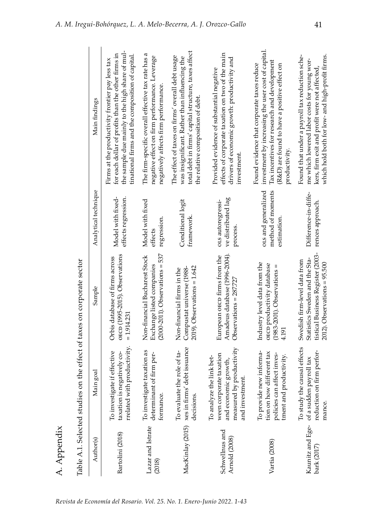|                                 |                                                                                                                            | Table A.1. Selected studies on the effect of taxes on corporate sector                                                                   |                                                         |                                                                                                                                                                                                                  |
|---------------------------------|----------------------------------------------------------------------------------------------------------------------------|------------------------------------------------------------------------------------------------------------------------------------------|---------------------------------------------------------|------------------------------------------------------------------------------------------------------------------------------------------------------------------------------------------------------------------|
| Author(s)                       | Main goal                                                                                                                  | Sample                                                                                                                                   | Analytical technique                                    | Main findings                                                                                                                                                                                                    |
| Bartolini (2018)                | with productivity.<br>To investigate if effective<br>taxation is negatively co-<br>rrelated                                | OECD (1995-2015). Observations<br>Orbis database of firms across<br>$= 1.914.231$                                                        | effects regression.<br>Model with fixed-                | the sample due mainly to the high share of mul-<br>for each dollar of profits than the other firms in<br>tinational firms and the composition of capital.<br>Firms at the productivity frontier pay less tax     |
| Lazar and Istrate<br>(2018)     | To investigate taxation as<br>determinant of firm per-<br>formance.                                                        | $(2000-2011)$ . Observations = 537<br>Non-financial Bucharest Stock<br>Exchange listed companies                                         | Model with fixed<br>regression.<br>effects              | The firm-specific overall effective tax rate has a<br>negative effect on firm performance. Leverage<br>negatively affects firm performance.                                                                      |
|                                 | MacKinlay (2015) xes in firms' debt issuance<br>To evaluate the role of ta-<br>decisions.                                  | $2019$ ). Observations = $1.642$<br>Compustat universe (1988-<br>Non-financial firms in the                                              | Conditional logit<br>framework                          | total debt in firms' capital structure, taxes affect<br>The effect of taxes on firms' overall debt usage<br>was insignificant. Rather than influencing the<br>the relative composition of debt.                  |
| Schwellnus and<br>Arnold (2008) | measured by productivity<br>ween corporate taxation<br>To analyze the link bet-<br>and economic growth,<br>and investment. | Amadeus database (1996-2004).<br>European o <co firms="" from="" the<br=""><math>Observations = 287.727</math></co>                      | ve distributed lag<br>ors autoregressi-<br>process.     | effects of corporate taxation on two of the main<br>drivers of economic growth: productivity and<br>Provided evidence of substantial negative<br>investment.                                                     |
| Vartia (2008)                   | To provide new informa-<br>tion on how different tax<br>policies can affect inves-<br>tment and productivity.              | Industry level data from the<br>OECD productivity database<br>Ш<br>(1983-2001). Observations<br>4.191                                    | ors and generalized<br>method of moments<br>estimation. | investment by increasing the user cost of capital.<br>Tax incentives for research and development<br>Found evidence that corporate taxes reduce<br>(R&D) are found to have a positive effect on<br>productivity. |
| bark $(2017)$                   | To study the causal effects<br>reduction on firm perfor-<br>Kaunitz and Ege- of a sudden payroll tax<br>mance.             | tistical Business Register (2003-<br>Statistics Sweden and the Sta-<br>Swedish firm-level data from<br>$2012$ ). Observations = $95.500$ | Difference-in-diffe-<br>rences approach.                | Found that under a payroll tax reduction sche-<br>which hold both for low- and high-profit firms.<br>me which lowered labor costs for young wor-<br>kers, firm exit and profit were not affected                 |

A. Appendix

A. Appendix

*Revista de Economía del Rosario. Vol. 25. No. 1. Enero-Junio 2022. 1-43*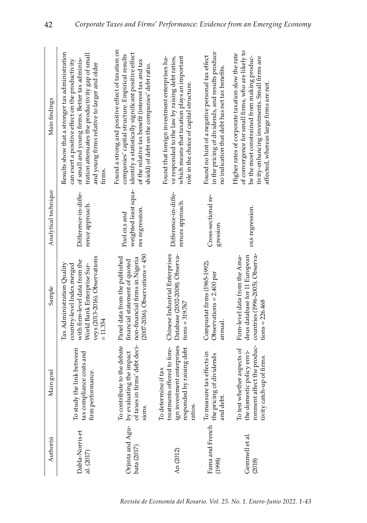| Main findings        | Results show that a stronger tax administration<br>tration attenuates the productivity gap of small<br>of small and young firms. Better tax adminis-<br>can exert a positive effect on the productivity<br>and young firms relative to larger and older<br>firms. | Found a strong and positive effect of taxation on<br>identify a statistically significant positive effect<br>companies' capital structure. Empirical results<br>of the relative tax benefit (interest tax and tax<br>shield) of debt on the companies' debt ratio. | Found that foreign investment enterprises ha-<br>which means that taxation plays an important<br>ve responded to the law by raising debt ratios,<br>role in the choice of capital structure. | in the pricing of dividends, and results produce<br>Found no hint of a negative personal tax effect<br>no indication that debt has net tax benefits. | of convergence for small firms, who are likely to<br>Higher rates of corporate taxation slow the rate<br>be the most constrained from making produc-<br>tivity-enhancing investments. Small firms are<br>affected, whereas large firms are not. |
|----------------------|-------------------------------------------------------------------------------------------------------------------------------------------------------------------------------------------------------------------------------------------------------------------|--------------------------------------------------------------------------------------------------------------------------------------------------------------------------------------------------------------------------------------------------------------------|----------------------------------------------------------------------------------------------------------------------------------------------------------------------------------------------|------------------------------------------------------------------------------------------------------------------------------------------------------|-------------------------------------------------------------------------------------------------------------------------------------------------------------------------------------------------------------------------------------------------|
| Analytical technique | Difference-in-diffe-<br>rence approach.                                                                                                                                                                                                                           | weighted least squa-<br>res regression.<br>Pool ors and                                                                                                                                                                                                            | Difference-in-diffe-<br>rences approach.                                                                                                                                                     | Cross-sectional re-<br>gression.                                                                                                                     | ors regression.                                                                                                                                                                                                                                 |
| Sample               | veys (2013-2016). Observations<br>with firm-level data from the<br>Tax Administration Quality<br>country-level Index merged<br>World Bank Enterprise Sur-<br>$= 11.354$                                                                                           | $(2007-2016)$ . Observations = 450<br>Panel data from the published<br>non-financial firms in Nigeria<br>financial statement of quoted                                                                                                                             | Chinese Industrial Enterprises<br>Database (2002-2008). Observa-<br>$tions = 319.767$                                                                                                        | Compustat firms (1965-1992).<br>Observations $= 2.400$ per<br>anmual                                                                                 | countries (1996-2005). Observa-<br>Firm-level data from the Ama-<br>deus database for 11 European<br>$tions = 226.468$                                                                                                                          |
| Main goal            | To study the link between<br>tax compliance costs and<br>firm performance.                                                                                                                                                                                        | To contribute to the debate<br>of taxes in firms' debt deci-<br>Orjinta and Agu- by evaluating the impact<br>sions.                                                                                                                                                | ign investment enterprises<br>treatments offered to fore-<br>responded by raising debt<br>To determine if tax<br>ratios.                                                                     | Fama and French To measure tax effects in<br>the pricing of dividends<br>and debt.                                                                   | ronment affect the produc-<br>To test whether aspects of<br>the domestic policy envi-<br>tivity catch-up of firms.                                                                                                                              |
| Author(s)            | Dabla-Norris et<br>al. (2017)                                                                                                                                                                                                                                     | bata (2017)                                                                                                                                                                                                                                                        | An (2012)                                                                                                                                                                                    | (1998)                                                                                                                                               | Gemmell et al.<br>(2018)                                                                                                                                                                                                                        |

42